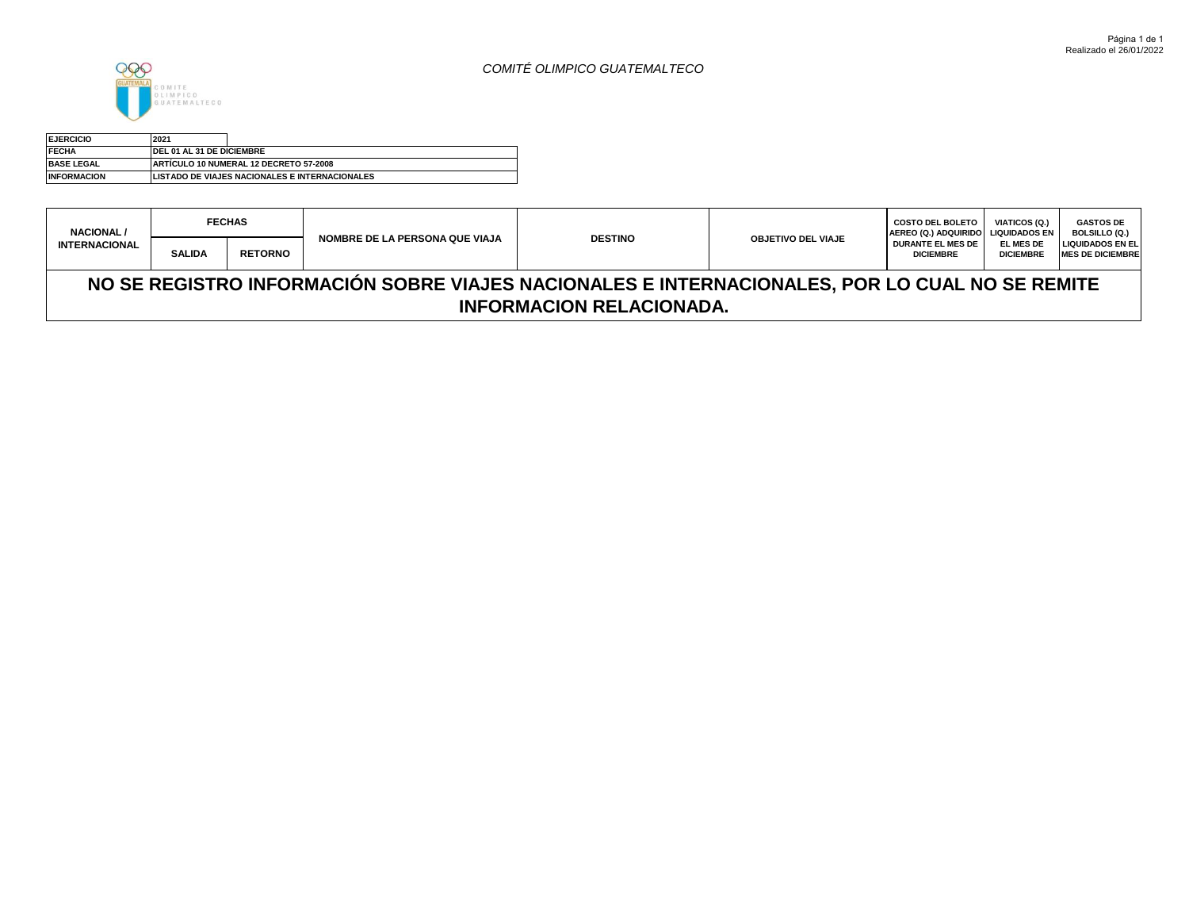



| <b>EJERCICIO</b>   | 2021                      |                                                |
|--------------------|---------------------------|------------------------------------------------|
| <b>FECHA</b>       | DEL 01 AL 31 DE DICIEMBRE |                                                |
| <b>BASE LEGAL</b>  |                           | <b>IARTÍCULO 10 NUMERAL 12 DECRETO 57-2008</b> |
| <b>INFORMACION</b> |                           | LISTADO DE VIAJES NACIONALES E INTERNACIONALES |

| <b>NACIONAL/</b>     | <b>FECHAS</b>                                                                                  |                |                                       | <b>DESTINO</b>                  |                           | <b>COSTO DEL BOLETO</b><br>AEREO (Q.) ADQUIRIDO LIQUIDADOS EN | <b>VIATICOS (Q.)</b>          | <b>GASTOS DE</b><br><b>BOLSILLO (Q.)</b>           |  |
|----------------------|------------------------------------------------------------------------------------------------|----------------|---------------------------------------|---------------------------------|---------------------------|---------------------------------------------------------------|-------------------------------|----------------------------------------------------|--|
| <b>INTERNACIONAL</b> | <b>SALIDA</b>                                                                                  | <b>RETORNO</b> | <b>NOMBRE DE LA PERSONA QUE VIAJA</b> |                                 | <b>OBJETIVO DEL VIAJE</b> | <b>DURANTE EL MES DE</b><br><b>DICIEMBRE</b>                  | EL MES DE<br><b>DICIEMBRE</b> | <b>LIQUIDADOS EN EL</b><br><b>MES DE DICIEMBRE</b> |  |
|                      | NO SE REGISTRO INFORMACIÓN SOBRE VIAJES NACIONALES E INTERNACIONALES, POR LO CUAL NO SE REMITE |                |                                       |                                 |                           |                                                               |                               |                                                    |  |
|                      |                                                                                                |                |                                       | <b>INFORMACION RELACIONADA.</b> |                           |                                                               |                               |                                                    |  |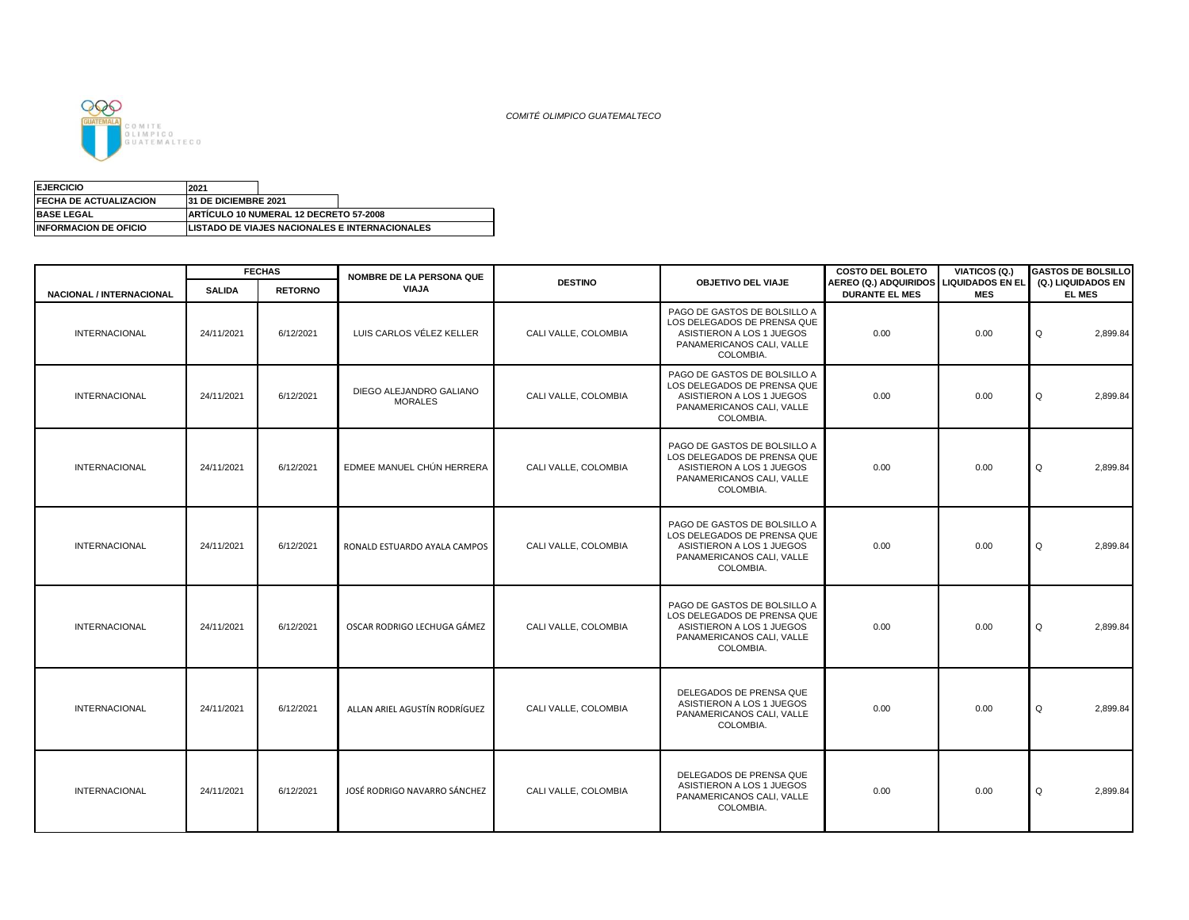

*COMITÉ OLIMPICO GUATEMALTECO*

| <b>EJERCICIO</b>              | 2021                         |                                                |                                                        |
|-------------------------------|------------------------------|------------------------------------------------|--------------------------------------------------------|
| <b>FECHA DE ACTUALIZACION</b> | <b>131 DE DICIEMBRE 2021</b> |                                                |                                                        |
| <b>BASE LEGAL</b>             |                              | <b>IARTICULO 10 NUMERAL 12 DECRETO 57-2008</b> |                                                        |
| <b>INFORMACION DE OFICIO</b>  |                              |                                                | <b>ILISTADO DE VIAJES NACIONALES E INTERNACIONALES</b> |

|                                 |               | <b>FECHAS</b>  | <b>NOMBRE DE LA PERSONA QUE</b>           |                      |                                                                                                                                    | <b>COSTO DEL BOLETO</b>                                         | VIATICOS (Q.) | <b>GASTOS DE BOLSILLO</b>           |
|---------------------------------|---------------|----------------|-------------------------------------------|----------------------|------------------------------------------------------------------------------------------------------------------------------------|-----------------------------------------------------------------|---------------|-------------------------------------|
| <b>NACIONAL / INTERNACIONAL</b> | <b>SALIDA</b> | <b>RETORNO</b> | VIAJA                                     | <b>DESTINO</b>       | <b>OBJETIVO DEL VIAJE</b>                                                                                                          | AEREO (Q.) ADQUIRIDOS LIQUIDADOS EN EL<br><b>DURANTE EL MES</b> | <b>MES</b>    | (Q.) LIQUIDADOS EN<br><b>EL MES</b> |
| <b>INTERNACIONAL</b>            | 24/11/2021    | 6/12/2021      | LUIS CARLOS VÉLEZ KELLER                  | CALI VALLE, COLOMBIA | PAGO DE GASTOS DE BOLSILLO A<br>LOS DELEGADOS DE PRENSA QUE<br>ASISTIERON A LOS 1 JUEGOS<br>PANAMERICANOS CALI, VALLE<br>COLOMBIA. | 0.00                                                            | 0.00          | 2,899.84<br>Q                       |
| <b>INTERNACIONAL</b>            | 24/11/2021    | 6/12/2021      | DIEGO ALEJANDRO GALIANO<br><b>MORALES</b> | CALI VALLE, COLOMBIA | PAGO DE GASTOS DE BOLSILLO A<br>LOS DELEGADOS DE PRENSA QUE<br>ASISTIERON A LOS 1 JUEGOS<br>PANAMERICANOS CALI, VALLE<br>COLOMBIA. | 0.00                                                            | 0.00          | Q<br>2,899.84                       |
| <b>INTERNACIONAL</b>            | 24/11/2021    | 6/12/2021      | EDMEE MANUEL CHÚN HERRERA                 | CALI VALLE, COLOMBIA | PAGO DE GASTOS DE BOLSILLO A<br>LOS DELEGADOS DE PRENSA QUE<br>ASISTIERON A LOS 1 JUEGOS<br>PANAMERICANOS CALI, VALLE<br>COLOMBIA. | 0.00                                                            | 0.00          | Q<br>2,899.84                       |
| <b>INTERNACIONAL</b>            | 24/11/2021    | 6/12/2021      | RONALD ESTUARDO AYALA CAMPOS              | CALI VALLE, COLOMBIA | PAGO DE GASTOS DE BOLSILLO A<br>LOS DELEGADOS DE PRENSA QUE<br>ASISTIERON A LOS 1 JUEGOS<br>PANAMERICANOS CALI, VALLE<br>COLOMBIA. | 0.00                                                            | 0.00          | 2,899.84<br>Q                       |
| <b>INTERNACIONAL</b>            | 24/11/2021    | 6/12/2021      | OSCAR RODRIGO LECHUGA GÁMEZ               | CALI VALLE, COLOMBIA | PAGO DE GASTOS DE BOLSILLO A<br>LOS DELEGADOS DE PRENSA QUE<br>ASISTIERON A LOS 1 JUEGOS<br>PANAMERICANOS CALI, VALLE<br>COLOMBIA. | 0.00                                                            | 0.00          | 2,899.84<br>Q                       |
| <b>INTERNACIONAL</b>            | 24/11/2021    | 6/12/2021      | ALLAN ARIEL AGUSTÍN RODRÍGUEZ             | CALI VALLE, COLOMBIA | DELEGADOS DE PRENSA QUE<br>ASISTIERON A LOS 1 JUEGOS<br>PANAMERICANOS CALI, VALLE<br>COLOMBIA.                                     | 0.00                                                            | 0.00          | Q<br>2,899.84                       |
| <b>INTERNACIONAL</b>            | 24/11/2021    | 6/12/2021      | JOSÉ RODRIGO NAVARRO SÁNCHEZ              | CALI VALLE, COLOMBIA | DELEGADOS DE PRENSA QUE<br>ASISTIERON A LOS 1 JUEGOS<br>PANAMERICANOS CALI, VALLE<br>COLOMBIA.                                     | 0.00                                                            | 0.00          | 2,899.84<br>Q                       |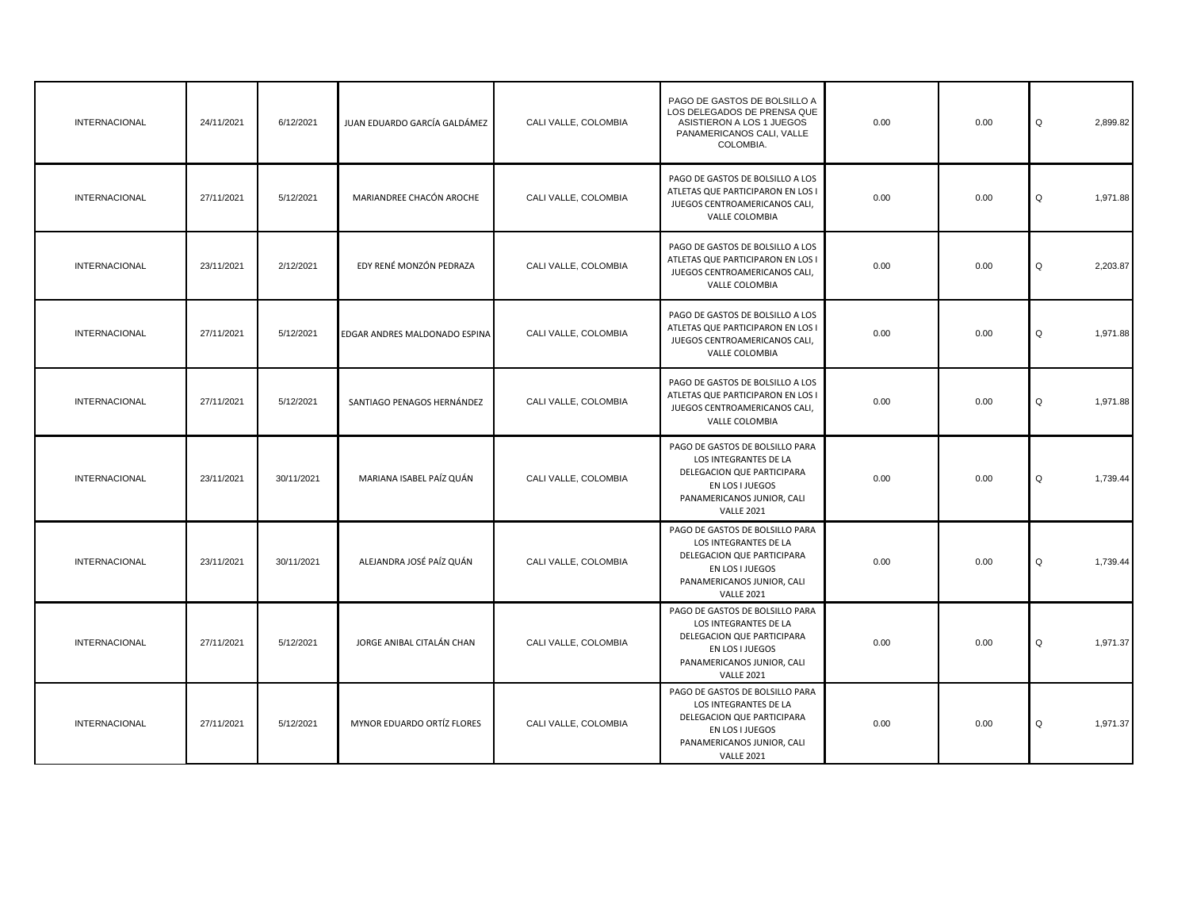| INTERNACIONAL        | 24/11/2021 | 6/12/2021  | JUAN EDUARDO GARCÍA GALDÁMEZ  | CALI VALLE, COLOMBIA | PAGO DE GASTOS DE BOLSILLO A<br>LOS DELEGADOS DE PRENSA QUE<br>ASISTIERON A LOS 1 JUEGOS<br>PANAMERICANOS CALI, VALLE<br>COLOMBIA.                           | 0.00 | 0.00 | Q<br>2,899.82 |
|----------------------|------------|------------|-------------------------------|----------------------|--------------------------------------------------------------------------------------------------------------------------------------------------------------|------|------|---------------|
| <b>INTERNACIONAL</b> | 27/11/2021 | 5/12/2021  | MARIANDREE CHACÓN AROCHE      | CALI VALLE, COLOMBIA | PAGO DE GASTOS DE BOLSILLO A LOS<br>ATLETAS QUE PARTICIPARON EN LOS I<br>JUEGOS CENTROAMERICANOS CALI,<br>VALLE COLOMBIA                                     | 0.00 | 0.00 | 1,971.88<br>Q |
| INTERNACIONAL        | 23/11/2021 | 2/12/2021  | EDY RENÉ MONZÓN PEDRAZA       | CALI VALLE, COLOMBIA | PAGO DE GASTOS DE BOLSILLO A LOS<br>ATLETAS QUE PARTICIPARON EN LOS I<br>JUEGOS CENTROAMERICANOS CALI,<br>VALLE COLOMBIA                                     | 0.00 | 0.00 | 2,203.87<br>Q |
| <b>INTERNACIONAL</b> | 27/11/2021 | 5/12/2021  | EDGAR ANDRES MALDONADO ESPINA | CALI VALLE, COLOMBIA | PAGO DE GASTOS DE BOLSILLO A LOS<br>ATLETAS QUE PARTICIPARON EN LOS I<br>JUEGOS CENTROAMERICANOS CALI,<br>VALLE COLOMBIA                                     | 0.00 | 0.00 | 1,971.88<br>Q |
| INTERNACIONAL        | 27/11/2021 | 5/12/2021  | SANTIAGO PENAGOS HERNÁNDEZ    | CALI VALLE, COLOMBIA | PAGO DE GASTOS DE BOLSILLO A LOS<br>ATLETAS QUE PARTICIPARON EN LOS I<br>JUEGOS CENTROAMERICANOS CALI,<br>VALLE COLOMBIA                                     | 0.00 | 0.00 | Q<br>1,971.88 |
| <b>INTERNACIONAL</b> | 23/11/2021 | 30/11/2021 | MARIANA ISABEL PAÍZ QUÁN      | CALI VALLE, COLOMBIA | PAGO DE GASTOS DE BOLSILLO PARA<br>LOS INTEGRANTES DE LA<br>DELEGACION QUE PARTICIPARA<br>EN LOS I JUEGOS<br>PANAMERICANOS JUNIOR, CALI<br><b>VALLE 2021</b> | 0.00 | 0.00 | Q<br>1,739.44 |
| INTERNACIONAL        | 23/11/2021 | 30/11/2021 | ALEJANDRA JOSÉ PAÍZ QUÁN      | CALI VALLE, COLOMBIA | PAGO DE GASTOS DE BOLSILLO PARA<br>LOS INTEGRANTES DE LA<br>DELEGACION QUE PARTICIPARA<br>EN LOS I JUEGOS<br>PANAMERICANOS JUNIOR, CALI<br><b>VALLE 2021</b> | 0.00 | 0.00 | Q<br>1,739.44 |
| <b>INTERNACIONAL</b> | 27/11/2021 | 5/12/2021  | JORGE ANIBAL CITALÁN CHAN     | CALI VALLE, COLOMBIA | PAGO DE GASTOS DE BOLSILLO PARA<br>LOS INTEGRANTES DE LA<br>DELEGACION QUE PARTICIPARA<br>EN LOS I JUEGOS<br>PANAMERICANOS JUNIOR, CALI<br><b>VALLE 2021</b> | 0.00 | 0.00 | 1,971.37<br>Q |
| INTERNACIONAL        | 27/11/2021 | 5/12/2021  | MYNOR EDUARDO ORTÍZ FLORES    | CALI VALLE, COLOMBIA | PAGO DE GASTOS DE BOLSILLO PARA<br>LOS INTEGRANTES DE LA<br>DELEGACION QUE PARTICIPARA<br>EN LOS I JUEGOS<br>PANAMERICANOS JUNIOR, CALI<br><b>VALLE 2021</b> | 0.00 | 0.00 | 1,971.37<br>Q |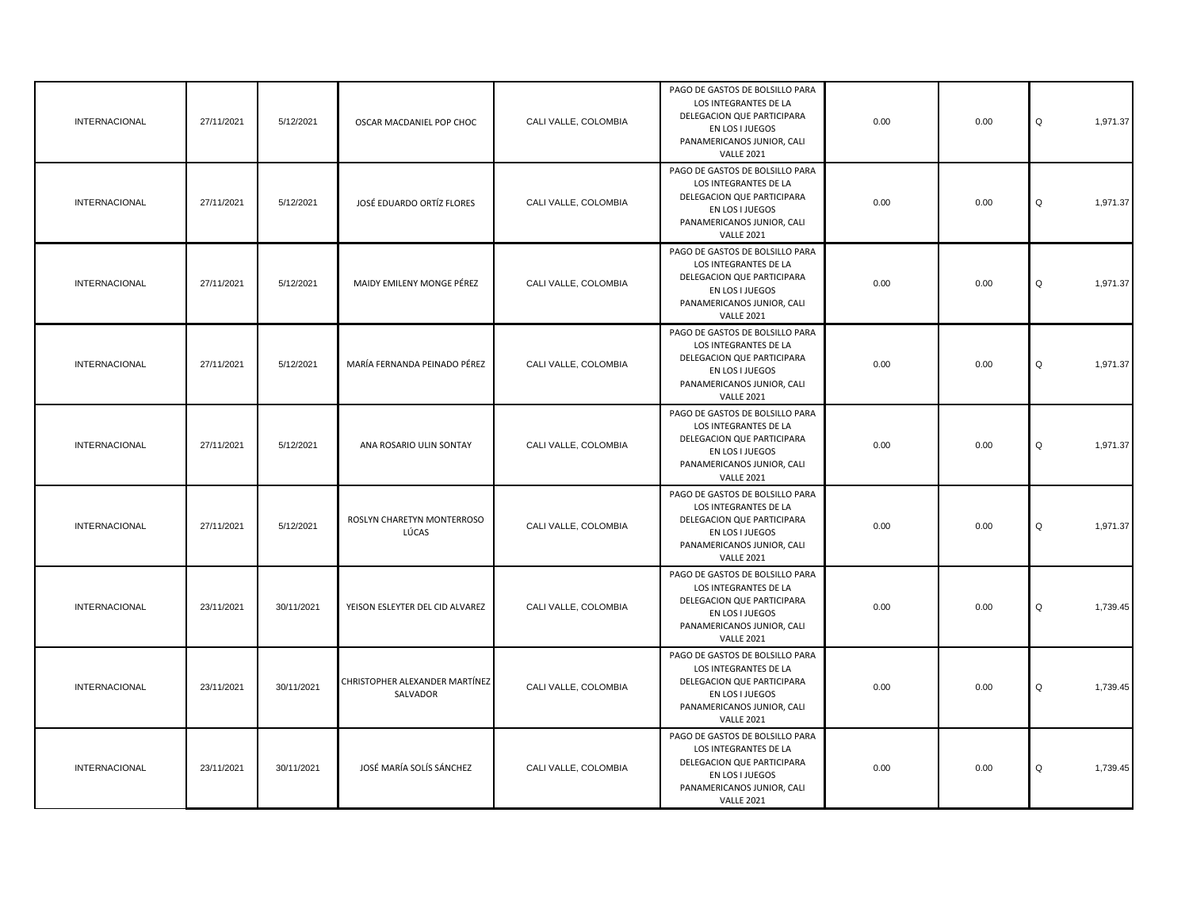| <b>INTERNACIONAL</b> | 27/11/2021 | 5/12/2021  | OSCAR MACDANIEL POP CHOC                   | CALI VALLE, COLOMBIA | PAGO DE GASTOS DE BOLSILLO PARA<br>LOS INTEGRANTES DE LA<br>DELEGACION QUE PARTICIPARA<br>EN LOS I JUEGOS<br>PANAMERICANOS JUNIOR, CALI<br><b>VALLE 2021</b> | 0.00 | 0.00 | Q<br>1,971.37 |
|----------------------|------------|------------|--------------------------------------------|----------------------|--------------------------------------------------------------------------------------------------------------------------------------------------------------|------|------|---------------|
| <b>INTERNACIONAL</b> | 27/11/2021 | 5/12/2021  | JOSÉ EDUARDO ORTÍZ FLORES                  | CALI VALLE, COLOMBIA | PAGO DE GASTOS DE BOLSILLO PARA<br>LOS INTEGRANTES DE LA<br>DELEGACION QUE PARTICIPARA<br>EN LOS I JUEGOS<br>PANAMERICANOS JUNIOR, CALI<br><b>VALLE 2021</b> | 0.00 | 0.00 | Q<br>1,971.37 |
| INTERNACIONAL        | 27/11/2021 | 5/12/2021  | MAIDY EMILENY MONGE PÉREZ                  | CALI VALLE, COLOMBIA | PAGO DE GASTOS DE BOLSILLO PARA<br>LOS INTEGRANTES DE LA<br>DELEGACION QUE PARTICIPARA<br>EN LOS I JUEGOS<br>PANAMERICANOS JUNIOR, CALI<br><b>VALLE 2021</b> | 0.00 | 0.00 | Q<br>1,971.37 |
| <b>INTERNACIONAL</b> | 27/11/2021 | 5/12/2021  | MARÍA FERNANDA PEINADO PÉREZ               | CALI VALLE, COLOMBIA | PAGO DE GASTOS DE BOLSILLO PARA<br>LOS INTEGRANTES DE LA<br>DELEGACION QUE PARTICIPARA<br>EN LOS I JUEGOS<br>PANAMERICANOS JUNIOR, CALI<br><b>VALLE 2021</b> | 0.00 | 0.00 | Q<br>1,971.37 |
| <b>INTERNACIONAL</b> | 27/11/2021 | 5/12/2021  | ANA ROSARIO ULIN SONTAY                    | CALI VALLE, COLOMBIA | PAGO DE GASTOS DE BOLSILLO PARA<br>LOS INTEGRANTES DE LA<br>DELEGACION QUE PARTICIPARA<br>EN LOS I JUEGOS<br>PANAMERICANOS JUNIOR, CALI<br><b>VALLE 2021</b> | 0.00 | 0.00 | 1,971.37<br>Q |
| <b>INTERNACIONAL</b> | 27/11/2021 | 5/12/2021  | ROSLYN CHARETYN MONTERROSO<br>LÚCAS        | CALI VALLE, COLOMBIA | PAGO DE GASTOS DE BOLSILLO PARA<br>LOS INTEGRANTES DE LA<br>DELEGACION QUE PARTICIPARA<br>EN LOS I JUEGOS<br>PANAMERICANOS JUNIOR, CALI<br><b>VALLE 2021</b> | 0.00 | 0.00 | Q<br>1,971.37 |
| <b>INTERNACIONAL</b> | 23/11/2021 | 30/11/2021 | YEISON ESLEYTER DEL CID ALVAREZ            | CALI VALLE, COLOMBIA | PAGO DE GASTOS DE BOLSILLO PARA<br>LOS INTEGRANTES DE LA<br>DELEGACION QUE PARTICIPARA<br>EN LOS I JUEGOS<br>PANAMERICANOS JUNIOR, CALI<br><b>VALLE 2021</b> | 0.00 | 0.00 | Q<br>1,739.45 |
| <b>INTERNACIONAL</b> | 23/11/2021 | 30/11/2021 | CHRISTOPHER ALEXANDER MARTÍNEZ<br>SALVADOR | CALI VALLE, COLOMBIA | PAGO DE GASTOS DE BOLSILLO PARA<br>LOS INTEGRANTES DE LA<br>DELEGACION QUE PARTICIPARA<br>EN LOS I JUEGOS<br>PANAMERICANOS JUNIOR, CALI<br><b>VALLE 2021</b> | 0.00 | 0.00 | Q<br>1,739.45 |
| <b>INTERNACIONAL</b> | 23/11/2021 | 30/11/2021 | JOSÉ MARÍA SOLÍS SÁNCHEZ                   | CALI VALLE, COLOMBIA | PAGO DE GASTOS DE BOLSILLO PARA<br>LOS INTEGRANTES DE LA<br>DELEGACION QUE PARTICIPARA<br>EN LOS I JUEGOS<br>PANAMERICANOS JUNIOR, CALI<br><b>VALLE 2021</b> | 0.00 | 0.00 | Q<br>1,739.45 |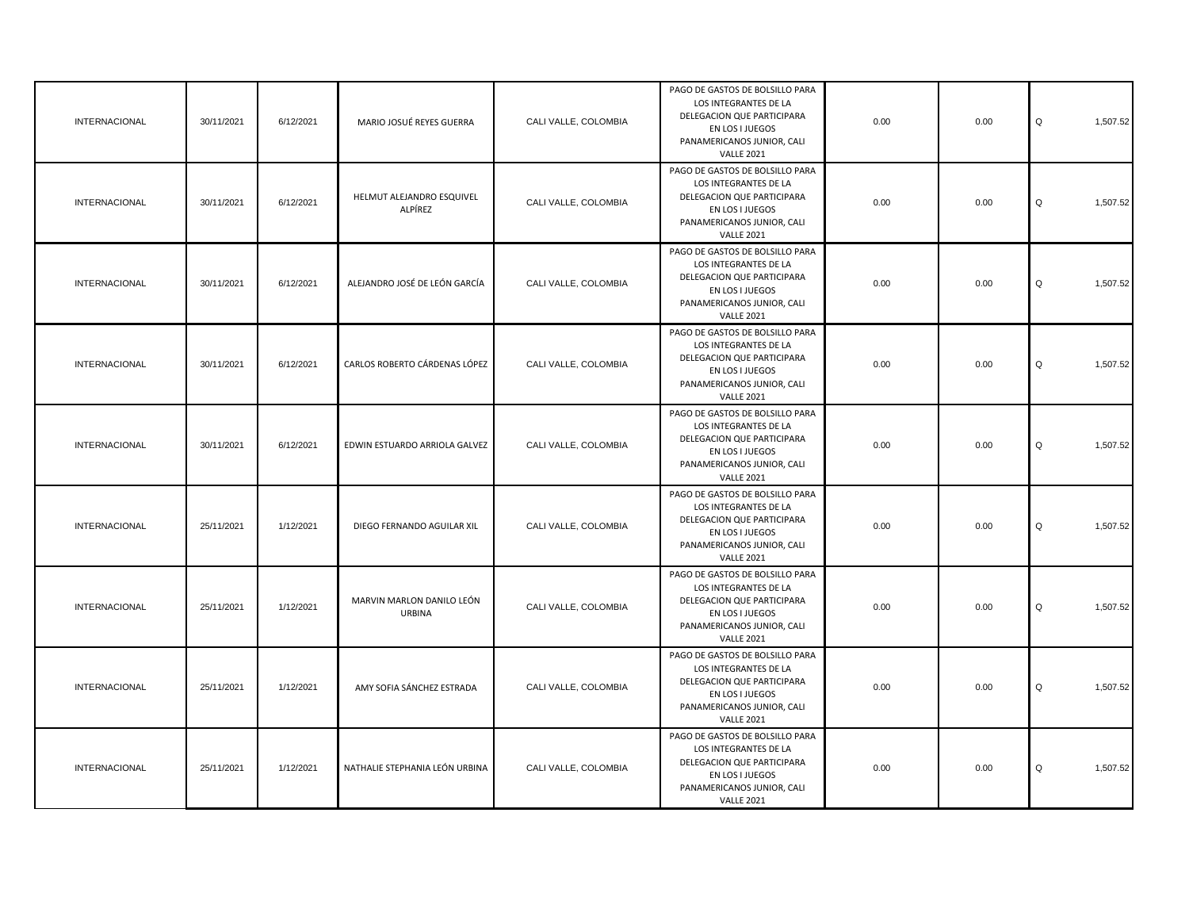| <b>INTERNACIONAL</b> | 30/11/2021 | 6/12/2021 | MARIO JOSUÉ REYES GUERRA                   | CALI VALLE, COLOMBIA | PAGO DE GASTOS DE BOLSILLO PARA<br>LOS INTEGRANTES DE LA<br>DELEGACION QUE PARTICIPARA<br>EN LOS I JUEGOS<br>PANAMERICANOS JUNIOR, CALI<br><b>VALLE 2021</b> | 0.00 | 0.00 | Q<br>1,507.52 |
|----------------------|------------|-----------|--------------------------------------------|----------------------|--------------------------------------------------------------------------------------------------------------------------------------------------------------|------|------|---------------|
| <b>INTERNACIONAL</b> | 30/11/2021 | 6/12/2021 | HELMUT ALEJANDRO ESQUIVEL<br>ALPÍREZ       | CALI VALLE, COLOMBIA | PAGO DE GASTOS DE BOLSILLO PARA<br>LOS INTEGRANTES DE LA<br>DELEGACION QUE PARTICIPARA<br>EN LOS I JUEGOS<br>PANAMERICANOS JUNIOR, CALI<br><b>VALLE 2021</b> | 0.00 | 0.00 | Q<br>1,507.52 |
| <b>INTERNACIONAL</b> | 30/11/2021 | 6/12/2021 | ALEJANDRO JOSÉ DE LEÓN GARCÍA              | CALI VALLE, COLOMBIA | PAGO DE GASTOS DE BOLSILLO PARA<br>LOS INTEGRANTES DE LA<br>DELEGACION QUE PARTICIPARA<br>EN LOS I JUEGOS<br>PANAMERICANOS JUNIOR, CALI<br><b>VALLE 2021</b> | 0.00 | 0.00 | Q<br>1,507.52 |
| <b>INTERNACIONAL</b> | 30/11/2021 | 6/12/2021 | CARLOS ROBERTO CÁRDENAS LÓPEZ              | CALI VALLE, COLOMBIA | PAGO DE GASTOS DE BOLSILLO PARA<br>LOS INTEGRANTES DE LA<br>DELEGACION QUE PARTICIPARA<br>EN LOS I JUEGOS<br>PANAMERICANOS JUNIOR, CALI<br><b>VALLE 2021</b> | 0.00 | 0.00 | Q<br>1,507.52 |
| <b>INTERNACIONAL</b> | 30/11/2021 | 6/12/2021 | EDWIN ESTUARDO ARRIOLA GALVEZ              | CALI VALLE, COLOMBIA | PAGO DE GASTOS DE BOLSILLO PARA<br>LOS INTEGRANTES DE LA<br>DELEGACION QUE PARTICIPARA<br>EN LOS I JUEGOS<br>PANAMERICANOS JUNIOR, CALI<br><b>VALLE 2021</b> | 0.00 | 0.00 | 1,507.52<br>Q |
| <b>INTERNACIONAL</b> | 25/11/2021 | 1/12/2021 | DIEGO FERNANDO AGUILAR XIL                 | CALI VALLE, COLOMBIA | PAGO DE GASTOS DE BOLSILLO PARA<br>LOS INTEGRANTES DE LA<br>DELEGACION QUE PARTICIPARA<br>EN LOS I JUEGOS<br>PANAMERICANOS JUNIOR, CALI<br><b>VALLE 2021</b> | 0.00 | 0.00 | Q<br>1,507.52 |
| <b>INTERNACIONAL</b> | 25/11/2021 | 1/12/2021 | MARVIN MARLON DANILO LEÓN<br><b>URBINA</b> | CALI VALLE, COLOMBIA | PAGO DE GASTOS DE BOLSILLO PARA<br>LOS INTEGRANTES DE LA<br>DELEGACION QUE PARTICIPARA<br>EN LOS I JUEGOS<br>PANAMERICANOS JUNIOR, CALI<br><b>VALLE 2021</b> | 0.00 | 0.00 | Q<br>1,507.52 |
| <b>INTERNACIONAL</b> | 25/11/2021 | 1/12/2021 | AMY SOFIA SÁNCHEZ ESTRADA                  | CALI VALLE, COLOMBIA | PAGO DE GASTOS DE BOLSILLO PARA<br>LOS INTEGRANTES DE LA<br>DELEGACION QUE PARTICIPARA<br>EN LOS I JUEGOS<br>PANAMERICANOS JUNIOR, CALI<br><b>VALLE 2021</b> | 0.00 | 0.00 | Q<br>1,507.52 |
| <b>INTERNACIONAL</b> | 25/11/2021 | 1/12/2021 | NATHALIE STEPHANIA LEÓN URBINA             | CALI VALLE, COLOMBIA | PAGO DE GASTOS DE BOLSILLO PARA<br>LOS INTEGRANTES DE LA<br>DELEGACION QUE PARTICIPARA<br>EN LOS I JUEGOS<br>PANAMERICANOS JUNIOR, CALI<br><b>VALLE 2021</b> | 0.00 | 0.00 | Q<br>1,507.52 |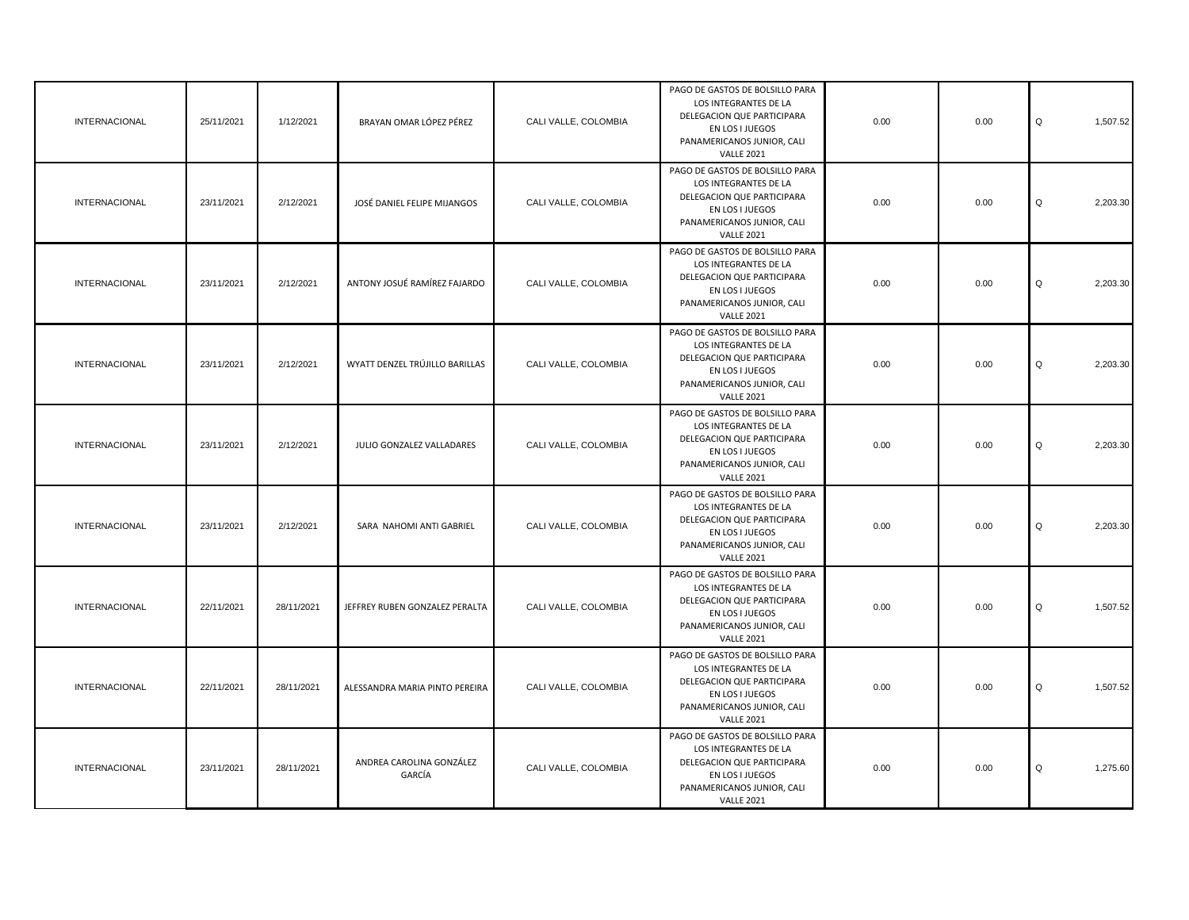| <b>INTERNACIONAL</b> | 25/11/2021 | 1/12/2021  | BRAYAN OMAR LÓPEZ PÉREZ            | CALI VALLE, COLOMBIA | PAGO DE GASTOS DE BOLSILLO PARA<br>LOS INTEGRANTES DE LA<br>DELEGACION QUE PARTICIPARA<br>EN LOS I JUEGOS<br>PANAMERICANOS JUNIOR, CALI<br><b>VALLE 2021</b> | 0.00 | 0.00 | Q<br>1,507.52 |
|----------------------|------------|------------|------------------------------------|----------------------|--------------------------------------------------------------------------------------------------------------------------------------------------------------|------|------|---------------|
| <b>INTERNACIONAL</b> | 23/11/2021 | 2/12/2021  | JOSÉ DANIEL FELIPE MIJANGOS        | CALI VALLE, COLOMBIA | PAGO DE GASTOS DE BOLSILLO PARA<br>LOS INTEGRANTES DE LA<br>DELEGACION QUE PARTICIPARA<br>EN LOS I JUEGOS<br>PANAMERICANOS JUNIOR, CALI<br><b>VALLE 2021</b> | 0.00 | 0.00 | Q<br>2,203.30 |
| <b>INTERNACIONAL</b> | 23/11/2021 | 2/12/2021  | ANTONY JOSUÉ RAMÍREZ FAJARDO       | CALI VALLE, COLOMBIA | PAGO DE GASTOS DE BOLSILLO PARA<br>LOS INTEGRANTES DE LA<br>DELEGACION QUE PARTICIPARA<br>EN LOS I JUEGOS<br>PANAMERICANOS JUNIOR, CALI<br><b>VALLE 2021</b> | 0.00 | 0.00 | Q<br>2,203.30 |
| <b>INTERNACIONAL</b> | 23/11/2021 | 2/12/2021  | WYATT DENZEL TRÚJILLO BARILLAS     | CALI VALLE, COLOMBIA | PAGO DE GASTOS DE BOLSILLO PARA<br>LOS INTEGRANTES DE LA<br>DELEGACION QUE PARTICIPARA<br>EN LOS I JUEGOS<br>PANAMERICANOS JUNIOR, CALI<br><b>VALLE 2021</b> | 0.00 | 0.00 | 2,203.30<br>Q |
| <b>INTERNACIONAL</b> | 23/11/2021 | 2/12/2021  | JULIO GONZALEZ VALLADARES          | CALI VALLE, COLOMBIA | PAGO DE GASTOS DE BOLSILLO PARA<br>LOS INTEGRANTES DE LA<br>DELEGACION QUE PARTICIPARA<br>EN LOS I JUEGOS<br>PANAMERICANOS JUNIOR, CALI<br><b>VALLE 2021</b> | 0.00 | 0.00 | Q<br>2,203.30 |
| INTERNACIONAL        | 23/11/2021 | 2/12/2021  | SARA NAHOMI ANTI GABRIEL           | CALI VALLE, COLOMBIA | PAGO DE GASTOS DE BOLSILLO PARA<br>LOS INTEGRANTES DE LA<br>DELEGACION QUE PARTICIPARA<br>EN LOS I JUEGOS<br>PANAMERICANOS JUNIOR, CALI<br><b>VALLE 2021</b> | 0.00 | 0.00 | 2,203.30<br>Q |
| INTERNACIONAL        | 22/11/2021 | 28/11/2021 | JEFFREY RUBEN GONZALEZ PERALTA     | CALI VALLE, COLOMBIA | PAGO DE GASTOS DE BOLSILLO PARA<br>LOS INTEGRANTES DE LA<br>DELEGACION QUE PARTICIPARA<br>EN LOS I JUEGOS<br>PANAMERICANOS JUNIOR, CALI<br><b>VALLE 2021</b> | 0.00 | 0.00 | Q<br>1,507.52 |
| <b>INTERNACIONAL</b> | 22/11/2021 | 28/11/2021 | ALESSANDRA MARIA PINTO PEREIRA     | CALI VALLE, COLOMBIA | PAGO DE GASTOS DE BOLSILLO PARA<br>LOS INTEGRANTES DE LA<br>DELEGACION QUE PARTICIPARA<br>EN LOS I JUEGOS<br>PANAMERICANOS JUNIOR, CALI<br><b>VALLE 2021</b> | 0.00 | 0.00 | Q<br>1,507.52 |
| <b>INTERNACIONAL</b> | 23/11/2021 | 28/11/2021 | ANDREA CAROLINA GONZÁLEZ<br>GARCÍA | CALI VALLE, COLOMBIA | PAGO DE GASTOS DE BOLSILLO PARA<br>LOS INTEGRANTES DE LA<br>DELEGACION QUE PARTICIPARA<br>EN LOS I JUEGOS<br>PANAMERICANOS JUNIOR, CALI<br><b>VALLE 2021</b> | 0.00 | 0.00 | Q<br>1,275.60 |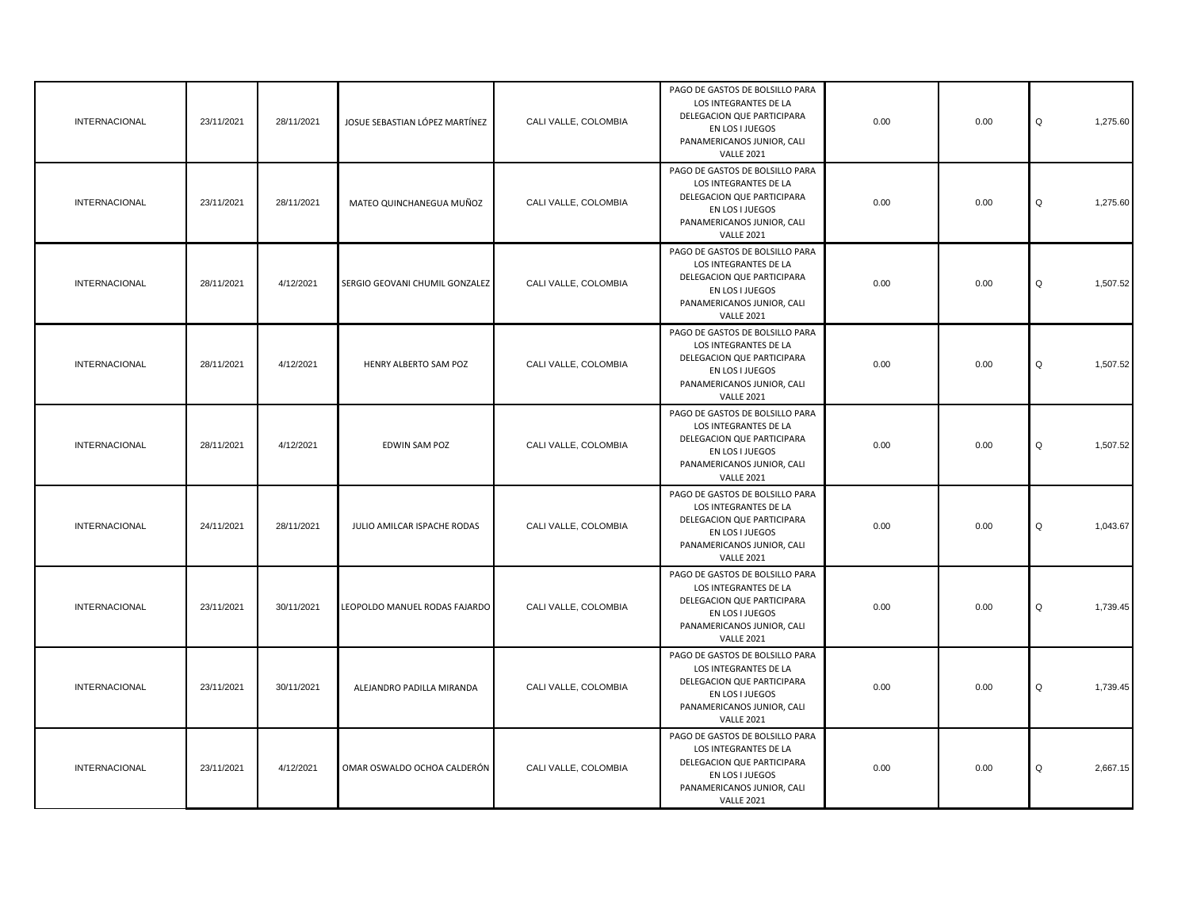| <b>INTERNACIONAL</b> | 23/11/2021 | 28/11/2021 | JOSUE SEBASTIAN LÓPEZ MARTÍNEZ | CALI VALLE, COLOMBIA | PAGO DE GASTOS DE BOLSILLO PARA<br>LOS INTEGRANTES DE LA<br>DELEGACION QUE PARTICIPARA<br>EN LOS I JUEGOS<br>PANAMERICANOS JUNIOR, CALI<br><b>VALLE 2021</b> | 0.00 | 0.00 | 1,275.60<br>Q |
|----------------------|------------|------------|--------------------------------|----------------------|--------------------------------------------------------------------------------------------------------------------------------------------------------------|------|------|---------------|
| <b>INTERNACIONAL</b> | 23/11/2021 | 28/11/2021 | MATEO QUINCHANEGUA MUÑOZ       | CALI VALLE, COLOMBIA | PAGO DE GASTOS DE BOLSILLO PARA<br>LOS INTEGRANTES DE LA<br>DELEGACION QUE PARTICIPARA<br>EN LOS I JUEGOS<br>PANAMERICANOS JUNIOR, CALI<br><b>VALLE 2021</b> | 0.00 | 0.00 | Q<br>1,275.60 |
| <b>INTERNACIONAL</b> | 28/11/2021 | 4/12/2021  | SERGIO GEOVANI CHUMIL GONZALEZ | CALI VALLE, COLOMBIA | PAGO DE GASTOS DE BOLSILLO PARA<br>LOS INTEGRANTES DE LA<br>DELEGACION QUE PARTICIPARA<br>EN LOS I JUEGOS<br>PANAMERICANOS JUNIOR, CALI<br><b>VALLE 2021</b> | 0.00 | 0.00 | Q<br>1,507.52 |
| <b>INTERNACIONAL</b> | 28/11/2021 | 4/12/2021  | HENRY ALBERTO SAM POZ          | CALI VALLE, COLOMBIA | PAGO DE GASTOS DE BOLSILLO PARA<br>LOS INTEGRANTES DE LA<br>DELEGACION QUE PARTICIPARA<br>EN LOS I JUEGOS<br>PANAMERICANOS JUNIOR, CALI<br><b>VALLE 2021</b> | 0.00 | 0.00 | Q<br>1,507.52 |
| <b>INTERNACIONAL</b> | 28/11/2021 | 4/12/2021  | EDWIN SAM POZ                  | CALI VALLE, COLOMBIA | PAGO DE GASTOS DE BOLSILLO PARA<br>LOS INTEGRANTES DE LA<br>DELEGACION QUE PARTICIPARA<br>EN LOS I JUEGOS<br>PANAMERICANOS JUNIOR, CALI<br><b>VALLE 2021</b> | 0.00 | 0.00 | 1,507.52<br>Q |
| <b>INTERNACIONAL</b> | 24/11/2021 | 28/11/2021 | JULIO AMILCAR ISPACHE RODAS    | CALI VALLE, COLOMBIA | PAGO DE GASTOS DE BOLSILLO PARA<br>LOS INTEGRANTES DE LA<br>DELEGACION QUE PARTICIPARA<br>EN LOS I JUEGOS<br>PANAMERICANOS JUNIOR, CALI<br><b>VALLE 2021</b> | 0.00 | 0.00 | 1,043.67<br>Q |
| INTERNACIONAL        | 23/11/2021 | 30/11/2021 | LEOPOLDO MANUEL RODAS FAJARDO  | CALI VALLE, COLOMBIA | PAGO DE GASTOS DE BOLSILLO PARA<br>LOS INTEGRANTES DE LA<br>DELEGACION QUE PARTICIPARA<br>EN LOS I JUEGOS<br>PANAMERICANOS JUNIOR, CALI<br><b>VALLE 2021</b> | 0.00 | 0.00 | 1,739.45<br>Q |
| <b>INTERNACIONAL</b> | 23/11/2021 | 30/11/2021 | ALEJANDRO PADILLA MIRANDA      | CALI VALLE, COLOMBIA | PAGO DE GASTOS DE BOLSILLO PARA<br>LOS INTEGRANTES DE LA<br>DELEGACION QUE PARTICIPARA<br>EN LOS I JUEGOS<br>PANAMERICANOS JUNIOR, CALI<br><b>VALLE 2021</b> | 0.00 | 0.00 | 1,739.45<br>Q |
| <b>INTERNACIONAL</b> | 23/11/2021 | 4/12/2021  | OMAR OSWALDO OCHOA CALDERÓN    | CALI VALLE, COLOMBIA | PAGO DE GASTOS DE BOLSILLO PARA<br>LOS INTEGRANTES DE LA<br>DELEGACION QUE PARTICIPARA<br>EN LOS I JUEGOS<br>PANAMERICANOS JUNIOR, CALI<br><b>VALLE 2021</b> | 0.00 | 0.00 | Q<br>2,667.15 |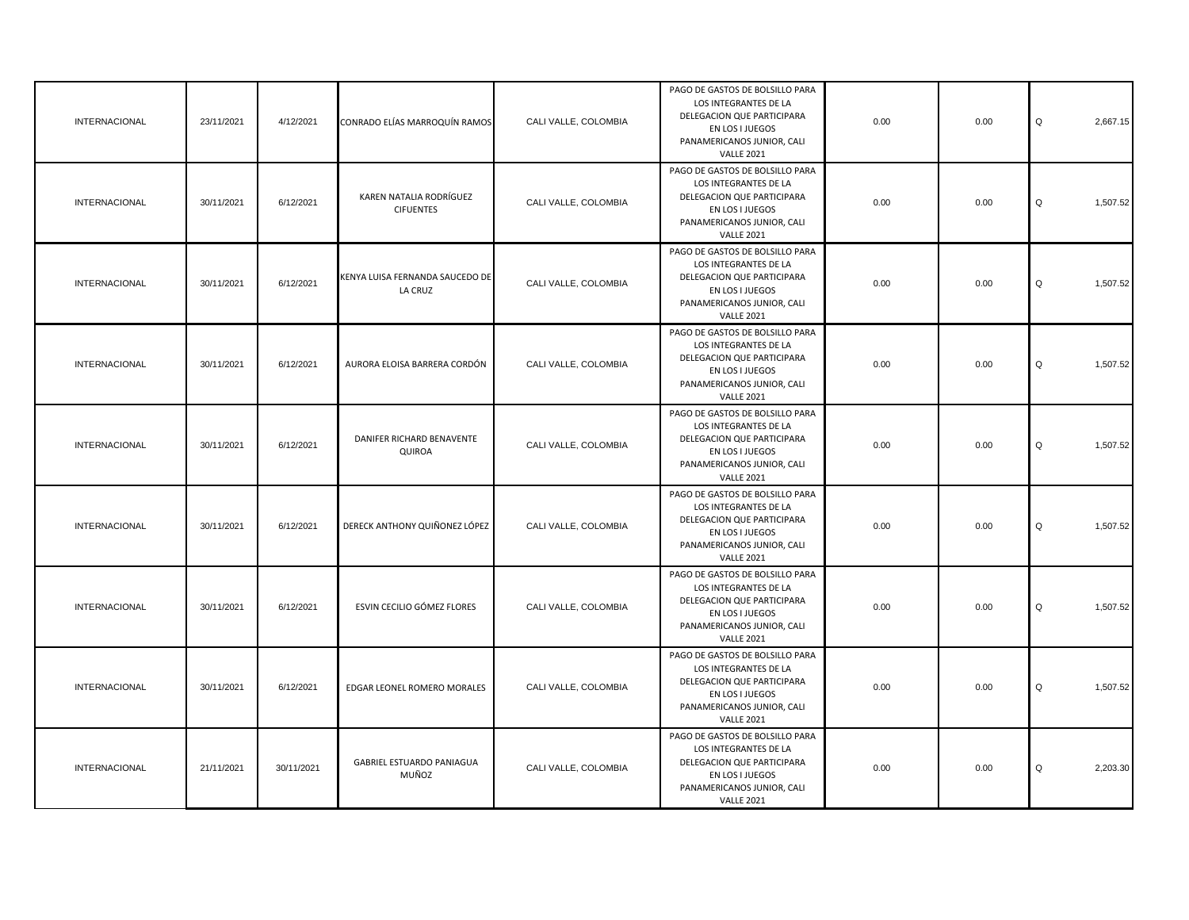| <b>INTERNACIONAL</b> | 23/11/2021 | 4/12/2021  | CONRADO ELÍAS MARROQUÍN RAMOS               | CALI VALLE, COLOMBIA | PAGO DE GASTOS DE BOLSILLO PARA<br>LOS INTEGRANTES DE LA<br>DELEGACION QUE PARTICIPARA<br>EN LOS I JUEGOS<br>PANAMERICANOS JUNIOR, CALI<br><b>VALLE 2021</b> | 0.00 | 0.00 | Q<br>2,667.15 |
|----------------------|------------|------------|---------------------------------------------|----------------------|--------------------------------------------------------------------------------------------------------------------------------------------------------------|------|------|---------------|
| <b>INTERNACIONAL</b> | 30/11/2021 | 6/12/2021  | KAREN NATALIA RODRÍGUEZ<br><b>CIFUENTES</b> | CALI VALLE, COLOMBIA | PAGO DE GASTOS DE BOLSILLO PARA<br>LOS INTEGRANTES DE LA<br>DELEGACION QUE PARTICIPARA<br>EN LOS I JUEGOS<br>PANAMERICANOS JUNIOR, CALI<br><b>VALLE 2021</b> | 0.00 | 0.00 | Q<br>1,507.52 |
| <b>INTERNACIONAL</b> | 30/11/2021 | 6/12/2021  | KENYA LUISA FERNANDA SAUCEDO DE<br>LA CRUZ  | CALI VALLE, COLOMBIA | PAGO DE GASTOS DE BOLSILLO PARA<br>LOS INTEGRANTES DE LA<br>DELEGACION QUE PARTICIPARA<br>EN LOS I JUEGOS<br>PANAMERICANOS JUNIOR, CALI<br><b>VALLE 2021</b> | 0.00 | 0.00 | 1,507.52<br>Q |
| <b>INTERNACIONAL</b> | 30/11/2021 | 6/12/2021  | AURORA ELOISA BARRERA CORDÓN                | CALI VALLE, COLOMBIA | PAGO DE GASTOS DE BOLSILLO PARA<br>LOS INTEGRANTES DE LA<br>DELEGACION QUE PARTICIPARA<br>EN LOS I JUEGOS<br>PANAMERICANOS JUNIOR, CALI<br><b>VALLE 2021</b> | 0.00 | 0.00 | 1,507.52<br>Q |
| <b>INTERNACIONAL</b> | 30/11/2021 | 6/12/2021  | DANIFER RICHARD BENAVENTE<br>QUIROA         | CALI VALLE, COLOMBIA | PAGO DE GASTOS DE BOLSILLO PARA<br>LOS INTEGRANTES DE LA<br>DELEGACION QUE PARTICIPARA<br>EN LOS I JUEGOS<br>PANAMERICANOS JUNIOR, CALI<br><b>VALLE 2021</b> | 0.00 | 0.00 | 1,507.52<br>Q |
| <b>INTERNACIONAL</b> | 30/11/2021 | 6/12/2021  | DERECK ANTHONY QUIÑONEZ LÓPEZ               | CALI VALLE, COLOMBIA | PAGO DE GASTOS DE BOLSILLO PARA<br>LOS INTEGRANTES DE LA<br>DELEGACION QUE PARTICIPARA<br>EN LOS I JUEGOS<br>PANAMERICANOS JUNIOR, CALI<br><b>VALLE 2021</b> | 0.00 | 0.00 | 1,507.52<br>Q |
| <b>INTERNACIONAL</b> | 30/11/2021 | 6/12/2021  | ESVIN CECILIO GÓMEZ FLORES                  | CALI VALLE, COLOMBIA | PAGO DE GASTOS DE BOLSILLO PARA<br>LOS INTEGRANTES DE LA<br>DELEGACION QUE PARTICIPARA<br>EN LOS I JUEGOS<br>PANAMERICANOS JUNIOR, CALI<br><b>VALLE 2021</b> | 0.00 | 0.00 | Q<br>1,507.52 |
| <b>INTERNACIONAL</b> | 30/11/2021 | 6/12/2021  | EDGAR LEONEL ROMERO MORALES                 | CALI VALLE, COLOMBIA | PAGO DE GASTOS DE BOLSILLO PARA<br>LOS INTEGRANTES DE LA<br>DELEGACION QUE PARTICIPARA<br>EN LOS I JUEGOS<br>PANAMERICANOS JUNIOR, CALI<br><b>VALLE 2021</b> | 0.00 | 0.00 | Q<br>1,507.52 |
| <b>INTERNACIONAL</b> | 21/11/2021 | 30/11/2021 | GABRIEL ESTUARDO PANIAGUA<br>MUÑOZ          | CALI VALLE, COLOMBIA | PAGO DE GASTOS DE BOLSILLO PARA<br>LOS INTEGRANTES DE LA<br>DELEGACION QUE PARTICIPARA<br>EN LOS I JUEGOS<br>PANAMERICANOS JUNIOR, CALI<br><b>VALLE 2021</b> | 0.00 | 0.00 | Q<br>2,203.30 |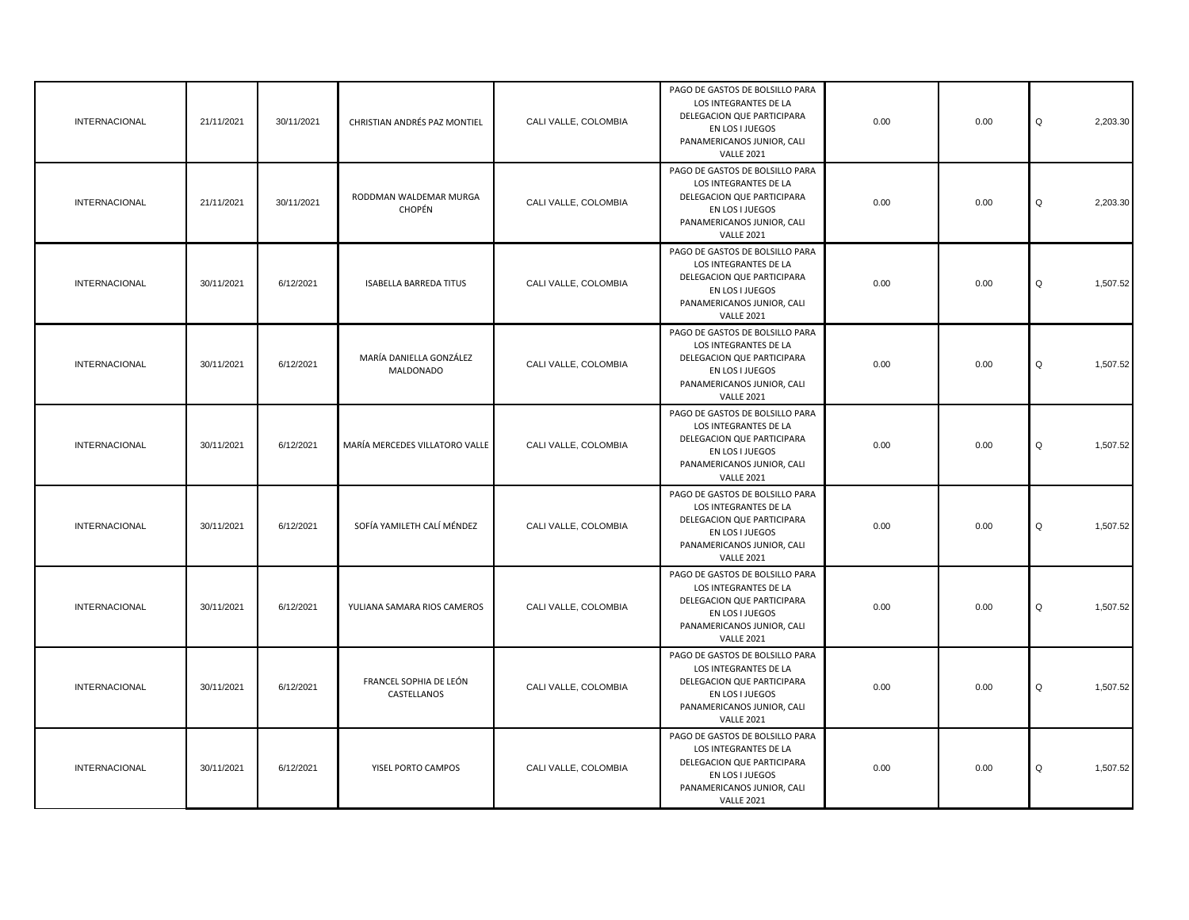| <b>INTERNACIONAL</b> | 21/11/2021 | 30/11/2021 | CHRISTIAN ANDRÉS PAZ MONTIEL          | CALI VALLE, COLOMBIA | PAGO DE GASTOS DE BOLSILLO PARA<br>LOS INTEGRANTES DE LA<br>DELEGACION QUE PARTICIPARA<br>EN LOS I JUEGOS<br>PANAMERICANOS JUNIOR, CALI<br><b>VALLE 2021</b> | 0.00 | 0.00 | Q<br>2,203.30 |
|----------------------|------------|------------|---------------------------------------|----------------------|--------------------------------------------------------------------------------------------------------------------------------------------------------------|------|------|---------------|
| <b>INTERNACIONAL</b> | 21/11/2021 | 30/11/2021 | RODDMAN WALDEMAR MURGA<br>CHOPÉN      | CALI VALLE, COLOMBIA | PAGO DE GASTOS DE BOLSILLO PARA<br>LOS INTEGRANTES DE LA<br>DELEGACION QUE PARTICIPARA<br>EN LOS I JUEGOS<br>PANAMERICANOS JUNIOR, CALI<br><b>VALLE 2021</b> | 0.00 | 0.00 | Q<br>2,203.30 |
| <b>INTERNACIONAL</b> | 30/11/2021 | 6/12/2021  | <b>ISABELLA BARREDA TITUS</b>         | CALI VALLE, COLOMBIA | PAGO DE GASTOS DE BOLSILLO PARA<br>LOS INTEGRANTES DE LA<br>DELEGACION QUE PARTICIPARA<br>EN LOS I JUEGOS<br>PANAMERICANOS JUNIOR, CALI<br><b>VALLE 2021</b> | 0.00 | 0.00 | Q<br>1,507.52 |
| INTERNACIONAL        | 30/11/2021 | 6/12/2021  | MARÍA DANIELLA GONZÁLEZ<br>MALDONADO  | CALI VALLE, COLOMBIA | PAGO DE GASTOS DE BOLSILLO PARA<br>LOS INTEGRANTES DE LA<br>DELEGACION QUE PARTICIPARA<br>EN LOS I JUEGOS<br>PANAMERICANOS JUNIOR, CALI<br><b>VALLE 2021</b> | 0.00 | 0.00 | Q<br>1,507.52 |
| INTERNACIONAL        | 30/11/2021 | 6/12/2021  | MARÍA MERCEDES VILLATORO VALLE        | CALI VALLE, COLOMBIA | PAGO DE GASTOS DE BOLSILLO PARA<br>LOS INTEGRANTES DE LA<br>DELEGACION QUE PARTICIPARA<br>EN LOS I JUEGOS<br>PANAMERICANOS JUNIOR, CALI<br><b>VALLE 2021</b> | 0.00 | 0.00 | Q<br>1,507.52 |
| <b>INTERNACIONAL</b> | 30/11/2021 | 6/12/2021  | SOFÍA YAMILETH CALÍ MÉNDEZ            | CALI VALLE, COLOMBIA | PAGO DE GASTOS DE BOLSILLO PARA<br>LOS INTEGRANTES DE LA<br>DELEGACION QUE PARTICIPARA<br>EN LOS I JUEGOS<br>PANAMERICANOS JUNIOR, CALI<br><b>VALLE 2021</b> | 0.00 | 0.00 | Q<br>1,507.52 |
| INTERNACIONAL        | 30/11/2021 | 6/12/2021  | YULIANA SAMARA RIOS CAMEROS           | CALI VALLE, COLOMBIA | PAGO DE GASTOS DE BOLSILLO PARA<br>LOS INTEGRANTES DE LA<br>DELEGACION QUE PARTICIPARA<br>EN LOS I JUEGOS<br>PANAMERICANOS JUNIOR, CALI<br><b>VALLE 2021</b> | 0.00 | 0.00 | Q<br>1,507.52 |
| INTERNACIONAL        | 30/11/2021 | 6/12/2021  | FRANCEL SOPHIA DE LEÓN<br>CASTELLANOS | CALI VALLE, COLOMBIA | PAGO DE GASTOS DE BOLSILLO PARA<br>LOS INTEGRANTES DE LA<br>DELEGACION QUE PARTICIPARA<br>EN LOS I JUEGOS<br>PANAMERICANOS JUNIOR, CALI<br><b>VALLE 2021</b> | 0.00 | 0.00 | Q<br>1,507.52 |
| INTERNACIONAL        | 30/11/2021 | 6/12/2021  | YISEL PORTO CAMPOS                    | CALI VALLE, COLOMBIA | PAGO DE GASTOS DE BOLSILLO PARA<br>LOS INTEGRANTES DE LA<br>DELEGACION QUE PARTICIPARA<br>EN LOS I JUEGOS<br>PANAMERICANOS JUNIOR, CALI<br><b>VALLE 2021</b> | 0.00 | 0.00 | Q<br>1,507.52 |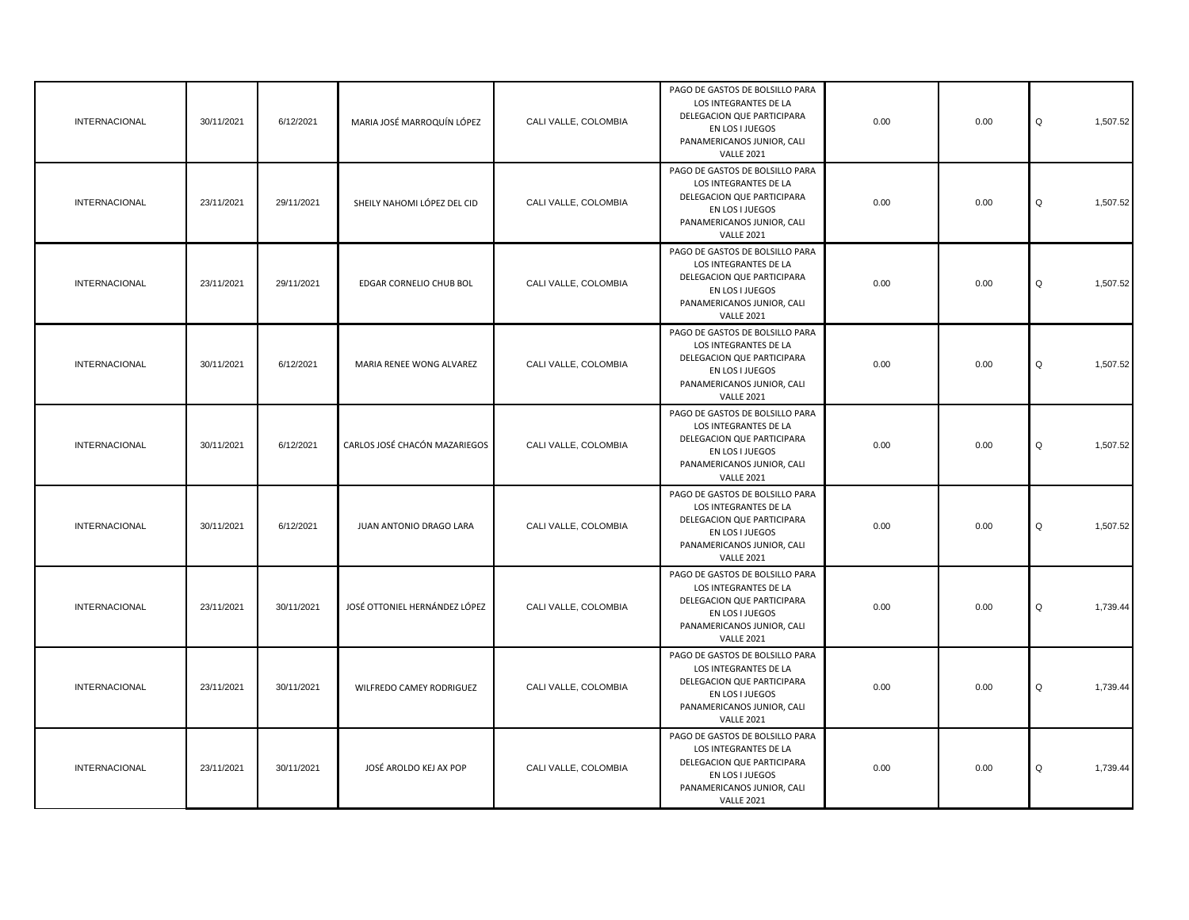| <b>INTERNACIONAL</b> | 30/11/2021 | 6/12/2021  | MARIA JOSÉ MARROQUÍN LÓPEZ    | CALI VALLE, COLOMBIA | PAGO DE GASTOS DE BOLSILLO PARA<br>LOS INTEGRANTES DE LA<br>DELEGACION QUE PARTICIPARA<br>EN LOS I JUEGOS<br>PANAMERICANOS JUNIOR, CALI<br><b>VALLE 2021</b> | 0.00 | 0.00 | Q<br>1,507.52 |
|----------------------|------------|------------|-------------------------------|----------------------|--------------------------------------------------------------------------------------------------------------------------------------------------------------|------|------|---------------|
| <b>INTERNACIONAL</b> | 23/11/2021 | 29/11/2021 | SHEILY NAHOMI LÓPEZ DEL CID   | CALI VALLE, COLOMBIA | PAGO DE GASTOS DE BOLSILLO PARA<br>LOS INTEGRANTES DE LA<br>DELEGACION QUE PARTICIPARA<br>EN LOS I JUEGOS<br>PANAMERICANOS JUNIOR, CALI<br><b>VALLE 2021</b> | 0.00 | 0.00 | Q<br>1,507.52 |
| <b>INTERNACIONAL</b> | 23/11/2021 | 29/11/2021 | EDGAR CORNELIO CHUB BOL       | CALI VALLE, COLOMBIA | PAGO DE GASTOS DE BOLSILLO PARA<br>LOS INTEGRANTES DE LA<br>DELEGACION QUE PARTICIPARA<br>EN LOS I JUEGOS<br>PANAMERICANOS JUNIOR, CALI<br><b>VALLE 2021</b> | 0.00 | 0.00 | Q<br>1,507.52 |
| <b>INTERNACIONAL</b> | 30/11/2021 | 6/12/2021  | MARIA RENEE WONG ALVAREZ      | CALI VALLE, COLOMBIA | PAGO DE GASTOS DE BOLSILLO PARA<br>LOS INTEGRANTES DE LA<br>DELEGACION QUE PARTICIPARA<br>EN LOS I JUEGOS<br>PANAMERICANOS JUNIOR, CALI<br><b>VALLE 2021</b> | 0.00 | 0.00 | Q<br>1,507.52 |
| <b>INTERNACIONAL</b> | 30/11/2021 | 6/12/2021  | CARLOS JOSÉ CHACÓN MAZARIEGOS | CALI VALLE, COLOMBIA | PAGO DE GASTOS DE BOLSILLO PARA<br>LOS INTEGRANTES DE LA<br>DELEGACION QUE PARTICIPARA<br>EN LOS I JUEGOS<br>PANAMERICANOS JUNIOR, CALI<br><b>VALLE 2021</b> | 0.00 | 0.00 | Q<br>1,507.52 |
| <b>INTERNACIONAL</b> | 30/11/2021 | 6/12/2021  | JUAN ANTONIO DRAGO LARA       | CALI VALLE, COLOMBIA | PAGO DE GASTOS DE BOLSILLO PARA<br>LOS INTEGRANTES DE LA<br>DELEGACION QUE PARTICIPARA<br>EN LOS I JUEGOS<br>PANAMERICANOS JUNIOR, CALI<br><b>VALLE 2021</b> | 0.00 | 0.00 | Q<br>1,507.52 |
| <b>INTERNACIONAL</b> | 23/11/2021 | 30/11/2021 | JOSÉ OTTONIEL HERNÁNDEZ LÓPEZ | CALI VALLE, COLOMBIA | PAGO DE GASTOS DE BOLSILLO PARA<br>LOS INTEGRANTES DE LA<br>DELEGACION QUE PARTICIPARA<br>EN LOS I JUEGOS<br>PANAMERICANOS JUNIOR, CALI<br><b>VALLE 2021</b> | 0.00 | 0.00 | Q<br>1,739.44 |
| <b>INTERNACIONAL</b> | 23/11/2021 | 30/11/2021 | WILFREDO CAMEY RODRIGUEZ      | CALI VALLE, COLOMBIA | PAGO DE GASTOS DE BOLSILLO PARA<br>LOS INTEGRANTES DE LA<br>DELEGACION QUE PARTICIPARA<br>EN LOS I JUEGOS<br>PANAMERICANOS JUNIOR, CALI<br><b>VALLE 2021</b> | 0.00 | 0.00 | Q<br>1,739.44 |
| INTERNACIONAL        | 23/11/2021 | 30/11/2021 | JOSÉ AROLDO KEJ AX POP        | CALI VALLE, COLOMBIA | PAGO DE GASTOS DE BOLSILLO PARA<br>LOS INTEGRANTES DE LA<br>DELEGACION QUE PARTICIPARA<br>EN LOS I JUEGOS<br>PANAMERICANOS JUNIOR, CALI<br><b>VALLE 2021</b> | 0.00 | 0.00 | Q<br>1,739.44 |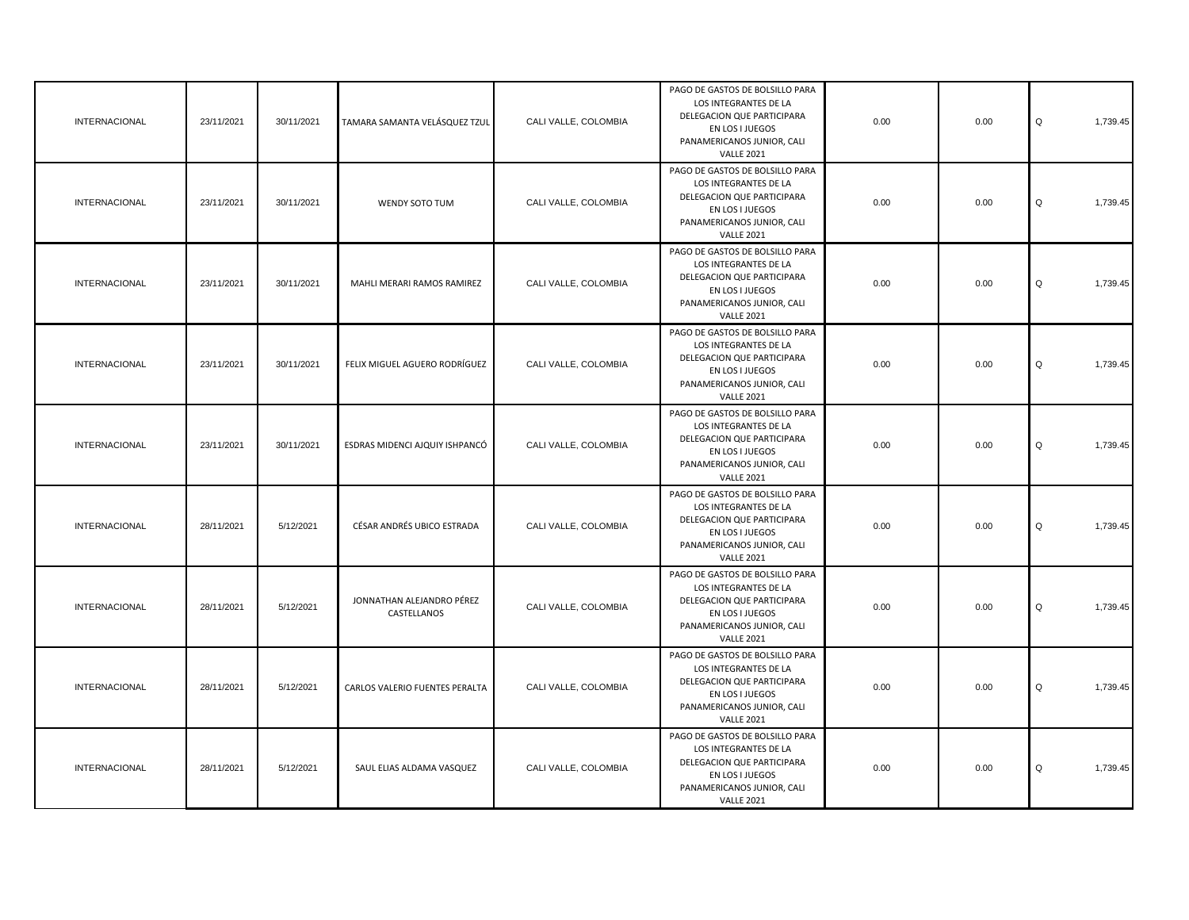| <b>INTERNACIONAL</b> | 23/11/2021 | 30/11/2021 | TAMARA SAMANTA VELÁSQUEZ TZUL            | CALI VALLE, COLOMBIA | PAGO DE GASTOS DE BOLSILLO PARA<br>LOS INTEGRANTES DE LA<br>DELEGACION QUE PARTICIPARA<br>EN LOS I JUEGOS<br>PANAMERICANOS JUNIOR, CALI<br><b>VALLE 2021</b> | 0.00 | 0.00 | Q<br>1,739.45 |
|----------------------|------------|------------|------------------------------------------|----------------------|--------------------------------------------------------------------------------------------------------------------------------------------------------------|------|------|---------------|
| INTERNACIONAL        | 23/11/2021 | 30/11/2021 | WENDY SOTO TUM                           | CALI VALLE, COLOMBIA | PAGO DE GASTOS DE BOLSILLO PARA<br>LOS INTEGRANTES DE LA<br>DELEGACION QUE PARTICIPARA<br>EN LOS I JUEGOS<br>PANAMERICANOS JUNIOR, CALI<br><b>VALLE 2021</b> | 0.00 | 0.00 | Q<br>1,739.45 |
| <b>INTERNACIONAL</b> | 23/11/2021 | 30/11/2021 | MAHLI MERARI RAMOS RAMIREZ               | CALI VALLE, COLOMBIA | PAGO DE GASTOS DE BOLSILLO PARA<br>LOS INTEGRANTES DE LA<br>DELEGACION QUE PARTICIPARA<br>EN LOS I JUEGOS<br>PANAMERICANOS JUNIOR, CALI<br><b>VALLE 2021</b> | 0.00 | 0.00 | Q<br>1,739.45 |
| <b>INTERNACIONAL</b> | 23/11/2021 | 30/11/2021 | FELIX MIGUEL AGUERO RODRÍGUEZ            | CALI VALLE, COLOMBIA | PAGO DE GASTOS DE BOLSILLO PARA<br>LOS INTEGRANTES DE LA<br>DELEGACION QUE PARTICIPARA<br>EN LOS I JUEGOS<br>PANAMERICANOS JUNIOR, CALI<br><b>VALLE 2021</b> | 0.00 | 0.00 | Q<br>1,739.45 |
| <b>INTERNACIONAL</b> | 23/11/2021 | 30/11/2021 | ESDRAS MIDENCI AJQUIY ISHPANCÓ           | CALI VALLE, COLOMBIA | PAGO DE GASTOS DE BOLSILLO PARA<br>LOS INTEGRANTES DE LA<br>DELEGACION QUE PARTICIPARA<br>EN LOS I JUEGOS<br>PANAMERICANOS JUNIOR, CALI<br><b>VALLE 2021</b> | 0.00 | 0.00 | Q<br>1,739.45 |
| <b>INTERNACIONAL</b> | 28/11/2021 | 5/12/2021  | CÉSAR ANDRÉS UBICO ESTRADA               | CALI VALLE, COLOMBIA | PAGO DE GASTOS DE BOLSILLO PARA<br>LOS INTEGRANTES DE LA<br>DELEGACION QUE PARTICIPARA<br>EN LOS I JUEGOS<br>PANAMERICANOS JUNIOR, CALI<br><b>VALLE 2021</b> | 0.00 | 0.00 | Q<br>1,739.45 |
| <b>INTERNACIONAL</b> | 28/11/2021 | 5/12/2021  | JONNATHAN ALEJANDRO PÉREZ<br>CASTELLANOS | CALI VALLE, COLOMBIA | PAGO DE GASTOS DE BOLSILLO PARA<br>LOS INTEGRANTES DE LA<br>DELEGACION QUE PARTICIPARA<br>EN LOS I JUEGOS<br>PANAMERICANOS JUNIOR, CALI<br><b>VALLE 2021</b> | 0.00 | 0.00 | Q<br>1,739.45 |
| <b>INTERNACIONAL</b> | 28/11/2021 | 5/12/2021  | CARLOS VALERIO FUENTES PERALTA           | CALI VALLE, COLOMBIA | PAGO DE GASTOS DE BOLSILLO PARA<br>LOS INTEGRANTES DE LA<br>DELEGACION QUE PARTICIPARA<br>EN LOS I JUEGOS<br>PANAMERICANOS JUNIOR, CALI<br><b>VALLE 2021</b> | 0.00 | 0.00 | Q<br>1,739.45 |
| <b>INTERNACIONAL</b> | 28/11/2021 | 5/12/2021  | SAUL ELIAS ALDAMA VASQUEZ                | CALI VALLE, COLOMBIA | PAGO DE GASTOS DE BOLSILLO PARA<br>LOS INTEGRANTES DE LA<br>DELEGACION QUE PARTICIPARA<br>EN LOS I JUEGOS<br>PANAMERICANOS JUNIOR, CALI<br><b>VALLE 2021</b> | 0.00 | 0.00 | Q<br>1,739.45 |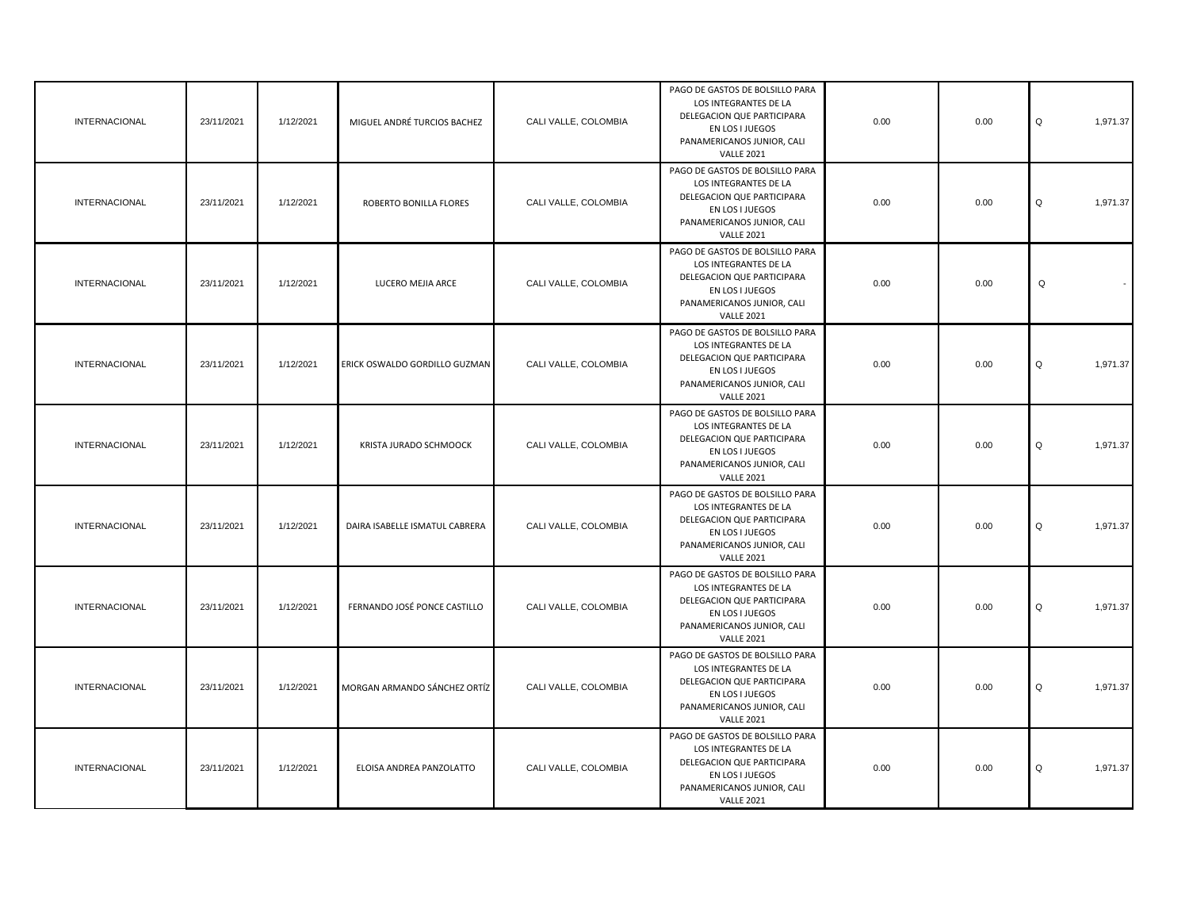| <b>INTERNACIONAL</b> | 23/11/2021 | 1/12/2021 | MIGUEL ANDRÉ TURCIOS BACHEZ    | CALI VALLE, COLOMBIA | PAGO DE GASTOS DE BOLSILLO PARA<br>LOS INTEGRANTES DE LA<br>DELEGACION QUE PARTICIPARA<br>EN LOS I JUEGOS<br>PANAMERICANOS JUNIOR, CALI<br><b>VALLE 2021</b> | 0.00 | 0.00 | Q<br>1,971.37 |
|----------------------|------------|-----------|--------------------------------|----------------------|--------------------------------------------------------------------------------------------------------------------------------------------------------------|------|------|---------------|
| <b>INTERNACIONAL</b> | 23/11/2021 | 1/12/2021 | ROBERTO BONILLA FLORES         | CALI VALLE, COLOMBIA | PAGO DE GASTOS DE BOLSILLO PARA<br>LOS INTEGRANTES DE LA<br>DELEGACION QUE PARTICIPARA<br>EN LOS I JUEGOS<br>PANAMERICANOS JUNIOR, CALI<br><b>VALLE 2021</b> | 0.00 | 0.00 | Q<br>1,971.37 |
| INTERNACIONAL        | 23/11/2021 | 1/12/2021 | LUCERO MEJIA ARCE              | CALI VALLE, COLOMBIA | PAGO DE GASTOS DE BOLSILLO PARA<br>LOS INTEGRANTES DE LA<br>DELEGACION QUE PARTICIPARA<br>EN LOS I JUEGOS<br>PANAMERICANOS JUNIOR, CALI<br><b>VALLE 2021</b> | 0.00 | 0.00 | $\mathsf Q$   |
| <b>INTERNACIONAL</b> | 23/11/2021 | 1/12/2021 | ERICK OSWALDO GORDILLO GUZMAN  | CALI VALLE, COLOMBIA | PAGO DE GASTOS DE BOLSILLO PARA<br>LOS INTEGRANTES DE LA<br>DELEGACION QUE PARTICIPARA<br>EN LOS I JUEGOS<br>PANAMERICANOS JUNIOR, CALI<br><b>VALLE 2021</b> | 0.00 | 0.00 | Q<br>1,971.37 |
| <b>INTERNACIONAL</b> | 23/11/2021 | 1/12/2021 | KRISTA JURADO SCHMOOCK         | CALI VALLE, COLOMBIA | PAGO DE GASTOS DE BOLSILLO PARA<br>LOS INTEGRANTES DE LA<br>DELEGACION QUE PARTICIPARA<br>EN LOS I JUEGOS<br>PANAMERICANOS JUNIOR, CALI<br><b>VALLE 2021</b> | 0.00 | 0.00 | 1,971.37<br>Q |
| <b>INTERNACIONAL</b> | 23/11/2021 | 1/12/2021 | DAIRA ISABELLE ISMATUL CABRERA | CALI VALLE, COLOMBIA | PAGO DE GASTOS DE BOLSILLO PARA<br>LOS INTEGRANTES DE LA<br>DELEGACION QUE PARTICIPARA<br>EN LOS I JUEGOS<br>PANAMERICANOS JUNIOR, CALI<br><b>VALLE 2021</b> | 0.00 | 0.00 | Q<br>1,971.37 |
| <b>INTERNACIONAL</b> | 23/11/2021 | 1/12/2021 | FERNANDO JOSÉ PONCE CASTILLO   | CALI VALLE, COLOMBIA | PAGO DE GASTOS DE BOLSILLO PARA<br>LOS INTEGRANTES DE LA<br>DELEGACION QUE PARTICIPARA<br>EN LOS I JUEGOS<br>PANAMERICANOS JUNIOR, CALI<br><b>VALLE 2021</b> | 0.00 | 0.00 | Q<br>1,971.37 |
| <b>INTERNACIONAL</b> | 23/11/2021 | 1/12/2021 | MORGAN ARMANDO SÁNCHEZ ORTÍZ   | CALI VALLE, COLOMBIA | PAGO DE GASTOS DE BOLSILLO PARA<br>LOS INTEGRANTES DE LA<br>DELEGACION QUE PARTICIPARA<br>EN LOS I JUEGOS<br>PANAMERICANOS JUNIOR, CALI<br><b>VALLE 2021</b> | 0.00 | 0.00 | Q<br>1,971.37 |
| <b>INTERNACIONAL</b> | 23/11/2021 | 1/12/2021 | ELOISA ANDREA PANZOLATTO       | CALI VALLE, COLOMBIA | PAGO DE GASTOS DE BOLSILLO PARA<br>LOS INTEGRANTES DE LA<br>DELEGACION QUE PARTICIPARA<br>EN LOS I JUEGOS<br>PANAMERICANOS JUNIOR, CALI<br><b>VALLE 2021</b> | 0.00 | 0.00 | Q<br>1,971.37 |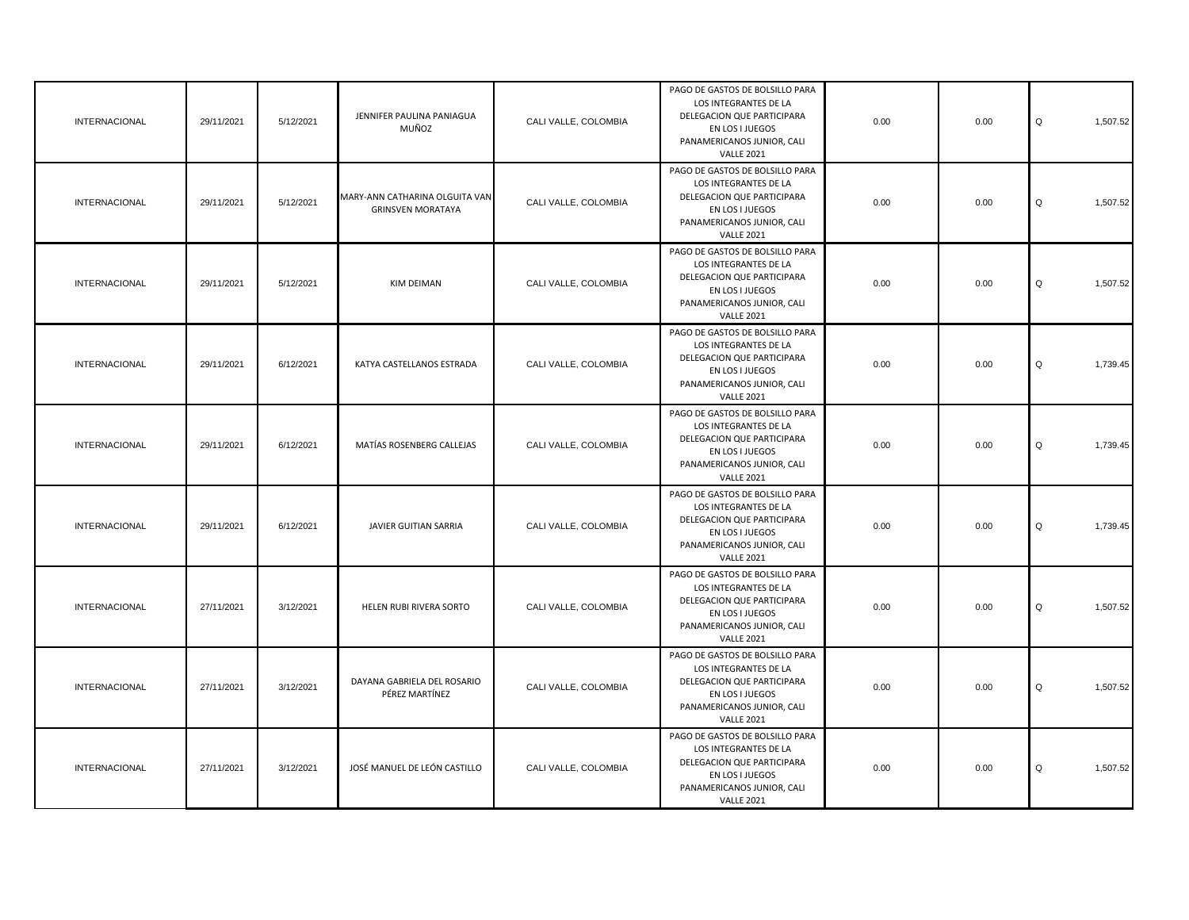| <b>INTERNACIONAL</b> | 29/11/2021 | 5/12/2021 | JENNIFER PAULINA PANIAGUA<br>MUÑOZ                         | CALI VALLE, COLOMBIA | PAGO DE GASTOS DE BOLSILLO PARA<br>LOS INTEGRANTES DE LA<br>DELEGACION QUE PARTICIPARA<br>EN LOS I JUEGOS<br>PANAMERICANOS JUNIOR, CALI<br><b>VALLE 2021</b> | 0.00 | 0.00 | Q<br>1,507.52 |
|----------------------|------------|-----------|------------------------------------------------------------|----------------------|--------------------------------------------------------------------------------------------------------------------------------------------------------------|------|------|---------------|
| <b>INTERNACIONAL</b> | 29/11/2021 | 5/12/2021 | MARY-ANN CATHARINA OLGUITA VAN<br><b>GRINSVEN MORATAYA</b> | CALI VALLE, COLOMBIA | PAGO DE GASTOS DE BOLSILLO PARA<br>LOS INTEGRANTES DE LA<br>DELEGACION QUE PARTICIPARA<br>EN LOS I JUEGOS<br>PANAMERICANOS JUNIOR, CALI<br><b>VALLE 2021</b> | 0.00 | 0.00 | Q<br>1,507.52 |
| <b>INTERNACIONAL</b> | 29/11/2021 | 5/12/2021 | KIM DEIMAN                                                 | CALI VALLE, COLOMBIA | PAGO DE GASTOS DE BOLSILLO PARA<br>LOS INTEGRANTES DE LA<br>DELEGACION QUE PARTICIPARA<br>EN LOS I JUEGOS<br>PANAMERICANOS JUNIOR, CALI<br><b>VALLE 2021</b> | 0.00 | 0.00 | Q<br>1,507.52 |
| <b>INTERNACIONAL</b> | 29/11/2021 | 6/12/2021 | KATYA CASTELLANOS ESTRADA                                  | CALI VALLE, COLOMBIA | PAGO DE GASTOS DE BOLSILLO PARA<br>LOS INTEGRANTES DE LA<br>DELEGACION QUE PARTICIPARA<br>EN LOS I JUEGOS<br>PANAMERICANOS JUNIOR, CALI<br><b>VALLE 2021</b> | 0.00 | 0.00 | Q<br>1,739.45 |
| <b>INTERNACIONAL</b> | 29/11/2021 | 6/12/2021 | MATÍAS ROSENBERG CALLEJAS                                  | CALI VALLE, COLOMBIA | PAGO DE GASTOS DE BOLSILLO PARA<br>LOS INTEGRANTES DE LA<br>DELEGACION QUE PARTICIPARA<br>EN LOS I JUEGOS<br>PANAMERICANOS JUNIOR, CALI<br><b>VALLE 2021</b> | 0.00 | 0.00 | 1,739.45<br>Q |
| <b>INTERNACIONAL</b> | 29/11/2021 | 6/12/2021 | JAVIER GUITIAN SARRIA                                      | CALI VALLE, COLOMBIA | PAGO DE GASTOS DE BOLSILLO PARA<br>LOS INTEGRANTES DE LA<br>DELEGACION QUE PARTICIPARA<br>EN LOS I JUEGOS<br>PANAMERICANOS JUNIOR, CALI<br><b>VALLE 2021</b> | 0.00 | 0.00 | Q<br>1,739.45 |
| <b>INTERNACIONAL</b> | 27/11/2021 | 3/12/2021 | HELEN RUBI RIVERA SORTO                                    | CALI VALLE, COLOMBIA | PAGO DE GASTOS DE BOLSILLO PARA<br>LOS INTEGRANTES DE LA<br>DELEGACION QUE PARTICIPARA<br>EN LOS I JUEGOS<br>PANAMERICANOS JUNIOR, CALI<br><b>VALLE 2021</b> | 0.00 | 0.00 | Q<br>1,507.52 |
| INTERNACIONAL        | 27/11/2021 | 3/12/2021 | DAYANA GABRIELA DEL ROSARIO<br>PÉREZ MARTÍNEZ              | CALI VALLE, COLOMBIA | PAGO DE GASTOS DE BOLSILLO PARA<br>LOS INTEGRANTES DE LA<br>DELEGACION QUE PARTICIPARA<br>EN LOS I JUEGOS<br>PANAMERICANOS JUNIOR, CALI<br><b>VALLE 2021</b> | 0.00 | 0.00 | Q<br>1,507.52 |
| INTERNACIONAL        | 27/11/2021 | 3/12/2021 | JOSÉ MANUEL DE LEÓN CASTILLO                               | CALI VALLE, COLOMBIA | PAGO DE GASTOS DE BOLSILLO PARA<br>LOS INTEGRANTES DE LA<br>DELEGACION QUE PARTICIPARA<br>EN LOS I JUEGOS<br>PANAMERICANOS JUNIOR, CALI<br><b>VALLE 2021</b> | 0.00 | 0.00 | Q<br>1,507.52 |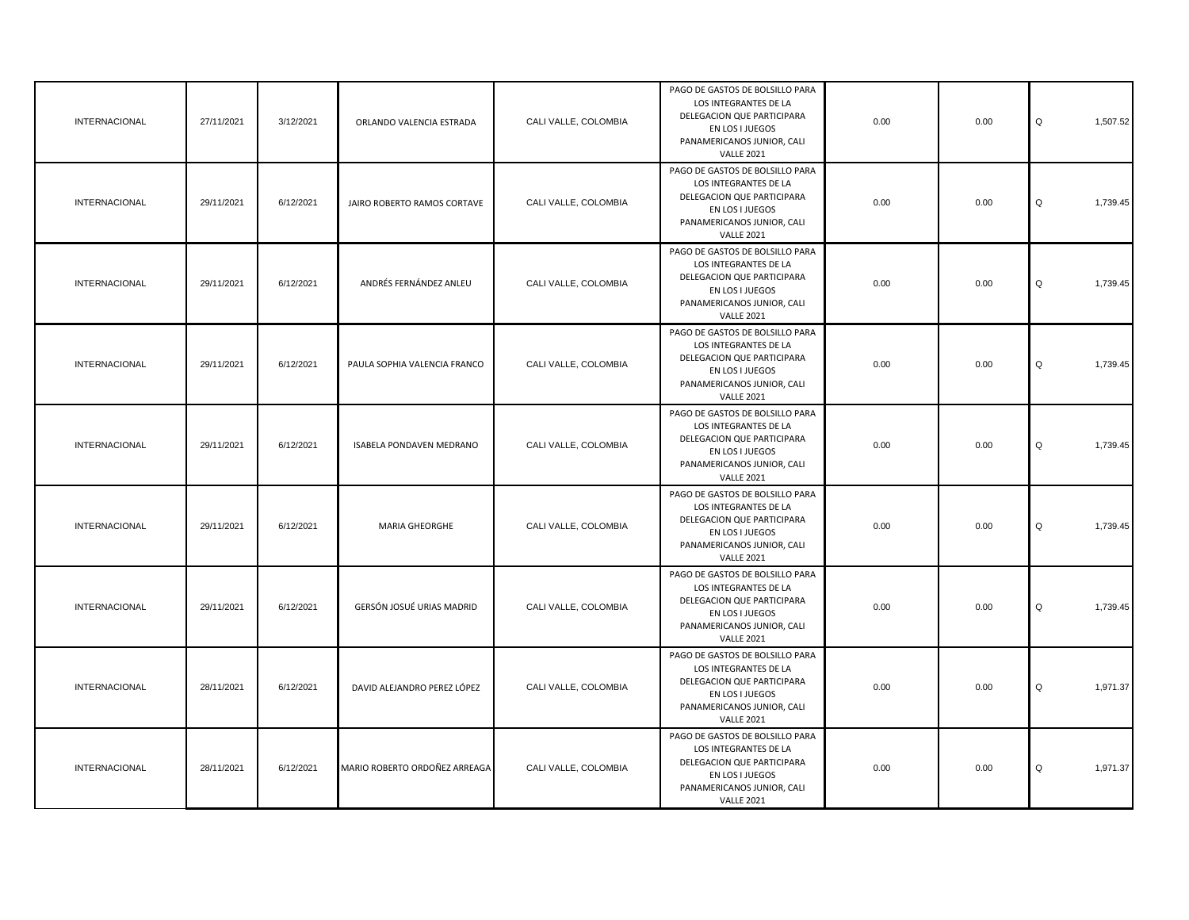| INTERNACIONAL        | 27/11/2021 | 3/12/2021 | ORLANDO VALENCIA ESTRADA      | CALI VALLE, COLOMBIA | PAGO DE GASTOS DE BOLSILLO PARA<br>LOS INTEGRANTES DE LA<br>DELEGACION QUE PARTICIPARA<br>EN LOS I JUEGOS<br>PANAMERICANOS JUNIOR, CALI<br><b>VALLE 2021</b> | 0.00 | 0.00 | Q<br>1,507.52 |
|----------------------|------------|-----------|-------------------------------|----------------------|--------------------------------------------------------------------------------------------------------------------------------------------------------------|------|------|---------------|
| <b>INTERNACIONAL</b> | 29/11/2021 | 6/12/2021 | JAIRO ROBERTO RAMOS CORTAVE   | CALI VALLE, COLOMBIA | PAGO DE GASTOS DE BOLSILLO PARA<br>LOS INTEGRANTES DE LA<br>DELEGACION QUE PARTICIPARA<br>EN LOS I JUEGOS<br>PANAMERICANOS JUNIOR, CALI<br><b>VALLE 2021</b> | 0.00 | 0.00 | Q<br>1,739.45 |
| <b>INTERNACIONAL</b> | 29/11/2021 | 6/12/2021 | ANDRÉS FERNÁNDEZ ANLEU        | CALI VALLE, COLOMBIA | PAGO DE GASTOS DE BOLSILLO PARA<br>LOS INTEGRANTES DE LA<br>DELEGACION QUE PARTICIPARA<br>EN LOS I JUEGOS<br>PANAMERICANOS JUNIOR, CALI<br><b>VALLE 2021</b> | 0.00 | 0.00 | Q<br>1,739.45 |
| <b>INTERNACIONAL</b> | 29/11/2021 | 6/12/2021 | PAULA SOPHIA VALENCIA FRANCO  | CALI VALLE, COLOMBIA | PAGO DE GASTOS DE BOLSILLO PARA<br>LOS INTEGRANTES DE LA<br>DELEGACION QUE PARTICIPARA<br>EN LOS I JUEGOS<br>PANAMERICANOS JUNIOR, CALI<br><b>VALLE 2021</b> | 0.00 | 0.00 | Q<br>1,739.45 |
| <b>INTERNACIONAL</b> | 29/11/2021 | 6/12/2021 | ISABELA PONDAVEN MEDRANO      | CALI VALLE, COLOMBIA | PAGO DE GASTOS DE BOLSILLO PARA<br>LOS INTEGRANTES DE LA<br>DELEGACION QUE PARTICIPARA<br>EN LOS I JUEGOS<br>PANAMERICANOS JUNIOR, CALI<br><b>VALLE 2021</b> | 0.00 | 0.00 | Q<br>1,739.45 |
| <b>INTERNACIONAL</b> | 29/11/2021 | 6/12/2021 | MARIA GHEORGHE                | CALI VALLE, COLOMBIA | PAGO DE GASTOS DE BOLSILLO PARA<br>LOS INTEGRANTES DE LA<br>DELEGACION QUE PARTICIPARA<br>EN LOS I JUEGOS<br>PANAMERICANOS JUNIOR, CALI<br><b>VALLE 2021</b> | 0.00 | 0.00 | Q<br>1,739.45 |
| <b>INTERNACIONAL</b> | 29/11/2021 | 6/12/2021 | GERSÓN JOSUÉ URIAS MADRID     | CALI VALLE, COLOMBIA | PAGO DE GASTOS DE BOLSILLO PARA<br>LOS INTEGRANTES DE LA<br>DELEGACION QUE PARTICIPARA<br>EN LOS I JUEGOS<br>PANAMERICANOS JUNIOR, CALI<br><b>VALLE 2021</b> | 0.00 | 0.00 | 1,739.45<br>Q |
| <b>INTERNACIONAL</b> | 28/11/2021 | 6/12/2021 | DAVID ALEJANDRO PEREZ LÓPEZ   | CALI VALLE, COLOMBIA | PAGO DE GASTOS DE BOLSILLO PARA<br>LOS INTEGRANTES DE LA<br>DELEGACION QUE PARTICIPARA<br>EN LOS I JUEGOS<br>PANAMERICANOS JUNIOR, CALI<br><b>VALLE 2021</b> | 0.00 | 0.00 | Q<br>1,971.37 |
| <b>INTERNACIONAL</b> | 28/11/2021 | 6/12/2021 | MARIO ROBERTO ORDOÑEZ ARREAGA | CALI VALLE, COLOMBIA | PAGO DE GASTOS DE BOLSILLO PARA<br>LOS INTEGRANTES DE LA<br>DELEGACION QUE PARTICIPARA<br>EN LOS I JUEGOS<br>PANAMERICANOS JUNIOR, CALI<br><b>VALLE 2021</b> | 0.00 | 0.00 | Q<br>1,971.37 |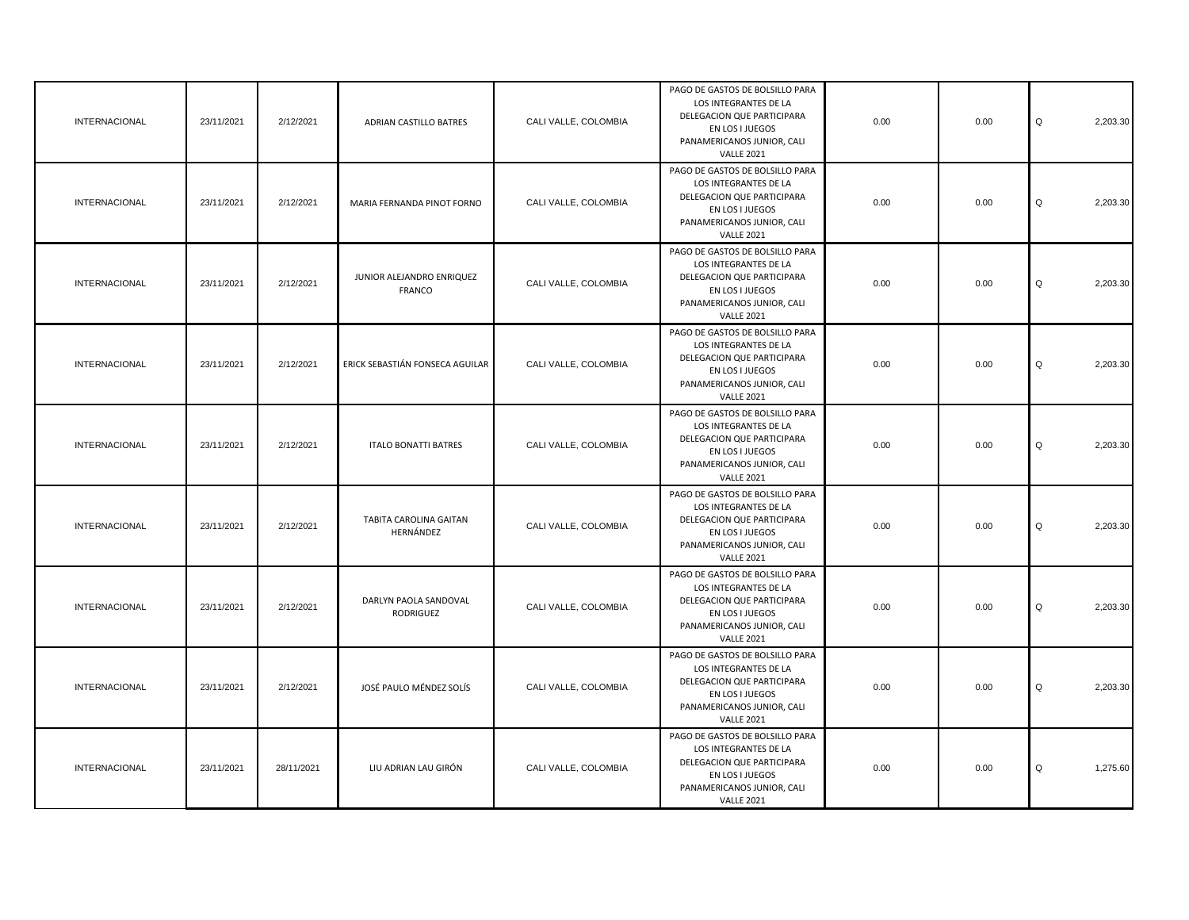| <b>INTERNACIONAL</b> | 23/11/2021 | 2/12/2021  | ADRIAN CASTILLO BATRES                     | CALI VALLE, COLOMBIA | PAGO DE GASTOS DE BOLSILLO PARA<br>LOS INTEGRANTES DE LA<br>DELEGACION QUE PARTICIPARA<br>EN LOS I JUEGOS<br>PANAMERICANOS JUNIOR, CALI<br><b>VALLE 2021</b> | 0.00 | 0.00 | Q<br>2,203.30 |
|----------------------|------------|------------|--------------------------------------------|----------------------|--------------------------------------------------------------------------------------------------------------------------------------------------------------|------|------|---------------|
| <b>INTERNACIONAL</b> | 23/11/2021 | 2/12/2021  | MARIA FERNANDA PINOT FORNO                 | CALI VALLE, COLOMBIA | PAGO DE GASTOS DE BOLSILLO PARA<br>LOS INTEGRANTES DE LA<br>DELEGACION QUE PARTICIPARA<br>EN LOS I JUEGOS<br>PANAMERICANOS JUNIOR, CALI<br><b>VALLE 2021</b> | 0.00 | 0.00 | Q<br>2,203.30 |
| <b>INTERNACIONAL</b> | 23/11/2021 | 2/12/2021  | JUNIOR ALEJANDRO ENRIQUEZ<br><b>FRANCO</b> | CALI VALLE, COLOMBIA | PAGO DE GASTOS DE BOLSILLO PARA<br>LOS INTEGRANTES DE LA<br>DELEGACION QUE PARTICIPARA<br>EN LOS I JUEGOS<br>PANAMERICANOS JUNIOR, CALI<br><b>VALLE 2021</b> | 0.00 | 0.00 | 2,203.30<br>Q |
| <b>INTERNACIONAL</b> | 23/11/2021 | 2/12/2021  | ERICK SEBASTIÁN FONSECA AGUILAR            | CALI VALLE, COLOMBIA | PAGO DE GASTOS DE BOLSILLO PARA<br>LOS INTEGRANTES DE LA<br>DELEGACION QUE PARTICIPARA<br>EN LOS I JUEGOS<br>PANAMERICANOS JUNIOR, CALI<br><b>VALLE 2021</b> | 0.00 | 0.00 | 2,203.30<br>Q |
| <b>INTERNACIONAL</b> | 23/11/2021 | 2/12/2021  | <b>ITALO BONATTI BATRES</b>                | CALI VALLE, COLOMBIA | PAGO DE GASTOS DE BOLSILLO PARA<br>LOS INTEGRANTES DE LA<br>DELEGACION QUE PARTICIPARA<br>EN LOS I JUEGOS<br>PANAMERICANOS JUNIOR, CALI<br><b>VALLE 2021</b> | 0.00 | 0.00 | 2,203.30<br>Q |
| <b>INTERNACIONAL</b> | 23/11/2021 | 2/12/2021  | TABITA CAROLINA GAITAN<br>HERNÁNDEZ        | CALI VALLE, COLOMBIA | PAGO DE GASTOS DE BOLSILLO PARA<br>LOS INTEGRANTES DE LA<br>DELEGACION QUE PARTICIPARA<br>EN LOS I JUEGOS<br>PANAMERICANOS JUNIOR, CALI<br><b>VALLE 2021</b> | 0.00 | 0.00 | 2,203.30<br>Q |
| <b>INTERNACIONAL</b> | 23/11/2021 | 2/12/2021  | DARLYN PAOLA SANDOVAL<br>RODRIGUEZ         | CALI VALLE, COLOMBIA | PAGO DE GASTOS DE BOLSILLO PARA<br>LOS INTEGRANTES DE LA<br>DELEGACION QUE PARTICIPARA<br>EN LOS I JUEGOS<br>PANAMERICANOS JUNIOR, CALI<br><b>VALLE 2021</b> | 0.00 | 0.00 | Q<br>2,203.30 |
| <b>INTERNACIONAL</b> | 23/11/2021 | 2/12/2021  | JOSÉ PAULO MÉNDEZ SOLÍS                    | CALI VALLE, COLOMBIA | PAGO DE GASTOS DE BOLSILLO PARA<br>LOS INTEGRANTES DE LA<br>DELEGACION QUE PARTICIPARA<br>EN LOS I JUEGOS<br>PANAMERICANOS JUNIOR, CALI<br><b>VALLE 2021</b> | 0.00 | 0.00 | Q<br>2,203.30 |
| <b>INTERNACIONAL</b> | 23/11/2021 | 28/11/2021 | LIU ADRIAN LAU GIRÓN                       | CALI VALLE, COLOMBIA | PAGO DE GASTOS DE BOLSILLO PARA<br>LOS INTEGRANTES DE LA<br>DELEGACION QUE PARTICIPARA<br>EN LOS I JUEGOS<br>PANAMERICANOS JUNIOR, CALI<br><b>VALLE 2021</b> | 0.00 | 0.00 | Q<br>1,275.60 |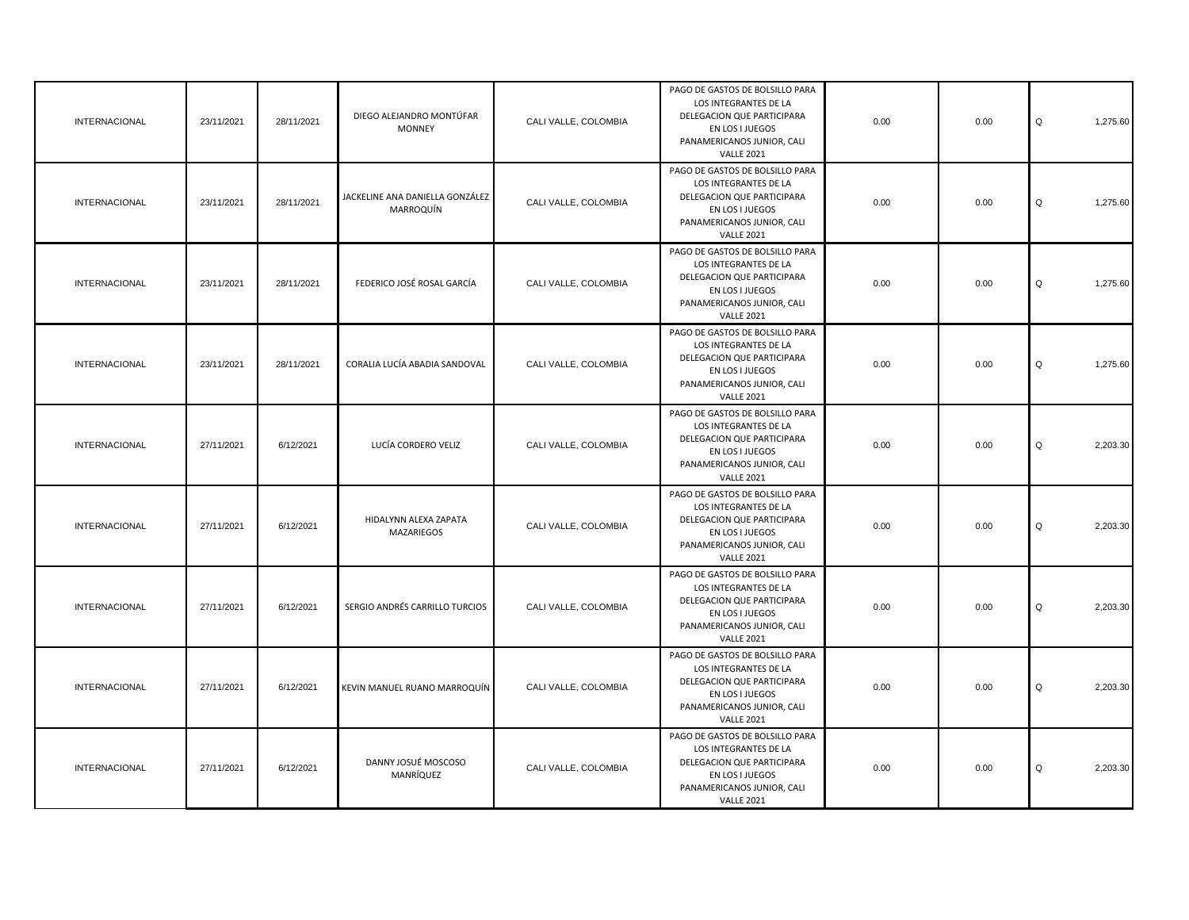| <b>INTERNACIONAL</b> | 23/11/2021 | 28/11/2021 | DIEGO ALEJANDRO MONTÚFAR<br><b>MONNEY</b>    | CALI VALLE, COLOMBIA | PAGO DE GASTOS DE BOLSILLO PARA<br>LOS INTEGRANTES DE LA<br>DELEGACION QUE PARTICIPARA<br>EN LOS I JUEGOS<br>PANAMERICANOS JUNIOR, CALI<br><b>VALLE 2021</b> | 0.00 | 0.00 | Q<br>1,275.60 |
|----------------------|------------|------------|----------------------------------------------|----------------------|--------------------------------------------------------------------------------------------------------------------------------------------------------------|------|------|---------------|
| <b>INTERNACIONAL</b> | 23/11/2021 | 28/11/2021 | JACKELINE ANA DANIELLA GONZÁLEZ<br>MARROQUÍN | CALI VALLE, COLOMBIA | PAGO DE GASTOS DE BOLSILLO PARA<br>LOS INTEGRANTES DE LA<br>DELEGACION QUE PARTICIPARA<br>EN LOS I JUEGOS<br>PANAMERICANOS JUNIOR, CALI<br><b>VALLE 2021</b> | 0.00 | 0.00 | Q<br>1,275.60 |
| <b>INTERNACIONAL</b> | 23/11/2021 | 28/11/2021 | FEDERICO JOSÉ ROSAL GARCÍA                   | CALI VALLE, COLOMBIA | PAGO DE GASTOS DE BOLSILLO PARA<br>LOS INTEGRANTES DE LA<br>DELEGACION QUE PARTICIPARA<br>EN LOS I JUEGOS<br>PANAMERICANOS JUNIOR, CALI<br><b>VALLE 2021</b> | 0.00 | 0.00 | Q<br>1,275.60 |
| <b>INTERNACIONAL</b> | 23/11/2021 | 28/11/2021 | CORALIA LUCÍA ABADIA SANDOVAL                | CALI VALLE, COLOMBIA | PAGO DE GASTOS DE BOLSILLO PARA<br>LOS INTEGRANTES DE LA<br>DELEGACION QUE PARTICIPARA<br>EN LOS I JUEGOS<br>PANAMERICANOS JUNIOR, CALI<br><b>VALLE 2021</b> | 0.00 | 0.00 | Q<br>1,275.60 |
| <b>INTERNACIONAL</b> | 27/11/2021 | 6/12/2021  | LUCÍA CORDERO VELIZ                          | CALI VALLE, COLOMBIA | PAGO DE GASTOS DE BOLSILLO PARA<br>LOS INTEGRANTES DE LA<br>DELEGACION QUE PARTICIPARA<br>EN LOS I JUEGOS<br>PANAMERICANOS JUNIOR, CALI<br><b>VALLE 2021</b> | 0.00 | 0.00 | 2,203.30<br>Q |
| <b>INTERNACIONAL</b> | 27/11/2021 | 6/12/2021  | HIDALYNN ALEXA ZAPATA<br>MAZARIEGOS          | CALI VALLE, COLOMBIA | PAGO DE GASTOS DE BOLSILLO PARA<br>LOS INTEGRANTES DE LA<br>DELEGACION QUE PARTICIPARA<br>EN LOS I JUEGOS<br>PANAMERICANOS JUNIOR, CALI<br><b>VALLE 2021</b> | 0.00 | 0.00 | Q<br>2,203.30 |
| <b>INTERNACIONAL</b> | 27/11/2021 | 6/12/2021  | SERGIO ANDRÉS CARRILLO TURCIOS               | CALI VALLE, COLOMBIA | PAGO DE GASTOS DE BOLSILLO PARA<br>LOS INTEGRANTES DE LA<br>DELEGACION QUE PARTICIPARA<br>EN LOS I JUEGOS<br>PANAMERICANOS JUNIOR, CALI<br><b>VALLE 2021</b> | 0.00 | 0.00 | Q<br>2,203.30 |
| <b>INTERNACIONAL</b> | 27/11/2021 | 6/12/2021  | KEVIN MANUEL RUANO MARROQUÍN                 | CALI VALLE, COLOMBIA | PAGO DE GASTOS DE BOLSILLO PARA<br>LOS INTEGRANTES DE LA<br>DELEGACION QUE PARTICIPARA<br>EN LOS I JUEGOS<br>PANAMERICANOS JUNIOR, CALI<br><b>VALLE 2021</b> | 0.00 | 0.00 | Q<br>2,203.30 |
| <b>INTERNACIONAL</b> | 27/11/2021 | 6/12/2021  | DANNY JOSUÉ MOSCOSO<br>MANRÍQUEZ             | CALI VALLE, COLOMBIA | PAGO DE GASTOS DE BOLSILLO PARA<br>LOS INTEGRANTES DE LA<br>DELEGACION QUE PARTICIPARA<br>EN LOS I JUEGOS<br>PANAMERICANOS JUNIOR, CALI<br><b>VALLE 2021</b> | 0.00 | 0.00 | Q<br>2,203.30 |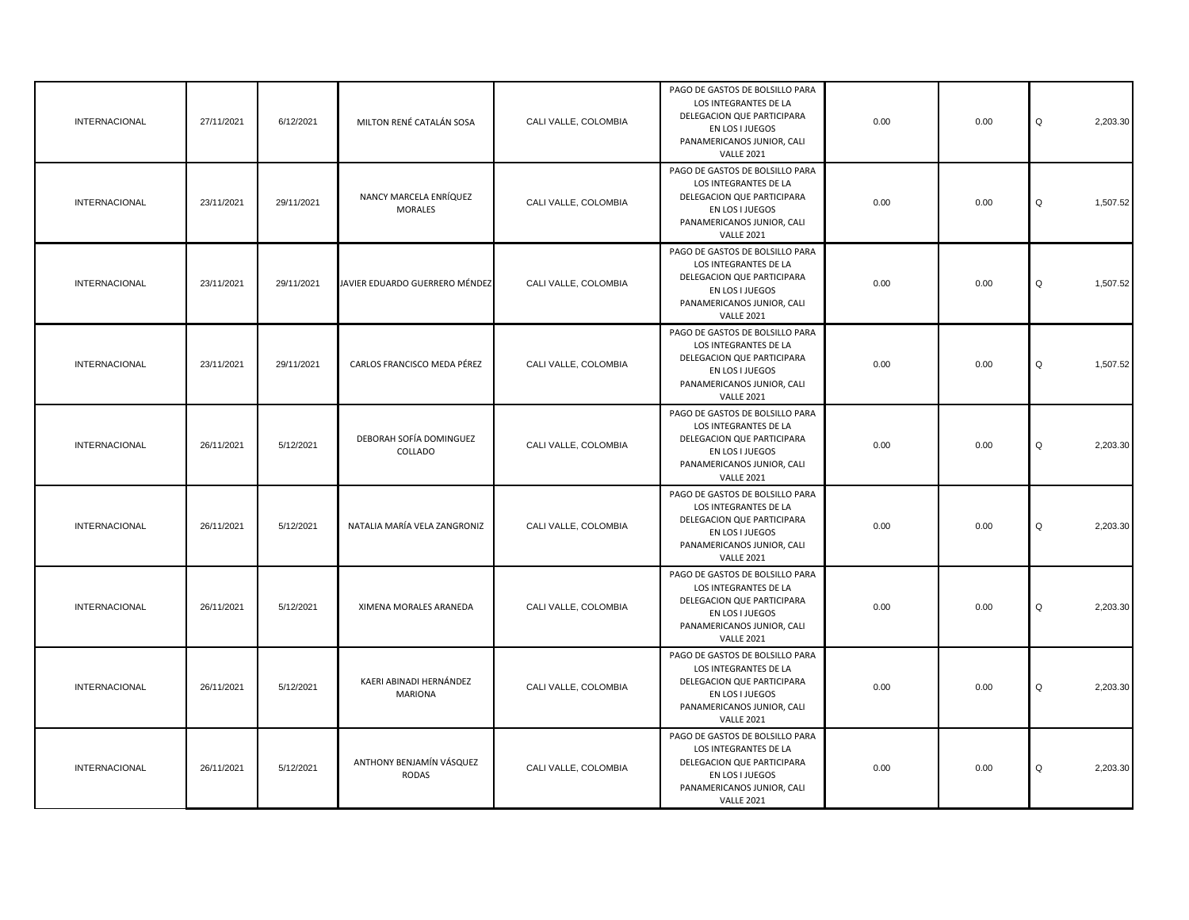| <b>INTERNACIONAL</b> | 27/11/2021 | 6/12/2021  | MILTON RENÉ CATALÁN SOSA                  | CALI VALLE, COLOMBIA | PAGO DE GASTOS DE BOLSILLO PARA<br>LOS INTEGRANTES DE LA<br>DELEGACION QUE PARTICIPARA<br>EN LOS I JUEGOS<br>PANAMERICANOS JUNIOR, CALI<br><b>VALLE 2021</b> | 0.00 | 0.00 | Q<br>2,203.30 |
|----------------------|------------|------------|-------------------------------------------|----------------------|--------------------------------------------------------------------------------------------------------------------------------------------------------------|------|------|---------------|
| <b>INTERNACIONAL</b> | 23/11/2021 | 29/11/2021 | NANCY MARCELA ENRÍQUEZ<br><b>MORALES</b>  | CALI VALLE, COLOMBIA | PAGO DE GASTOS DE BOLSILLO PARA<br>LOS INTEGRANTES DE LA<br>DELEGACION QUE PARTICIPARA<br>EN LOS I JUEGOS<br>PANAMERICANOS JUNIOR, CALI<br><b>VALLE 2021</b> | 0.00 | 0.00 | Q<br>1,507.52 |
| <b>INTERNACIONAL</b> | 23/11/2021 | 29/11/2021 | JAVIER EDUARDO GUERRERO MÉNDEZ            | CALI VALLE, COLOMBIA | PAGO DE GASTOS DE BOLSILLO PARA<br>LOS INTEGRANTES DE LA<br>DELEGACION QUE PARTICIPARA<br>EN LOS I JUEGOS<br>PANAMERICANOS JUNIOR, CALI<br><b>VALLE 2021</b> | 0.00 | 0.00 | Q<br>1,507.52 |
| <b>INTERNACIONAL</b> | 23/11/2021 | 29/11/2021 | CARLOS FRANCISCO MEDA PÉREZ               | CALI VALLE, COLOMBIA | PAGO DE GASTOS DE BOLSILLO PARA<br>LOS INTEGRANTES DE LA<br>DELEGACION QUE PARTICIPARA<br>EN LOS I JUEGOS<br>PANAMERICANOS JUNIOR, CALI<br><b>VALLE 2021</b> | 0.00 | 0.00 | Q<br>1,507.52 |
| <b>INTERNACIONAL</b> | 26/11/2021 | 5/12/2021  | DEBORAH SOFÍA DOMINGUEZ<br>COLLADO        | CALI VALLE, COLOMBIA | PAGO DE GASTOS DE BOLSILLO PARA<br>LOS INTEGRANTES DE LA<br>DELEGACION QUE PARTICIPARA<br>EN LOS I JUEGOS<br>PANAMERICANOS JUNIOR, CALI<br><b>VALLE 2021</b> | 0.00 | 0.00 | Q<br>2,203.30 |
| <b>INTERNACIONAL</b> | 26/11/2021 | 5/12/2021  | NATALIA MARÍA VELA ZANGRONIZ              | CALI VALLE, COLOMBIA | PAGO DE GASTOS DE BOLSILLO PARA<br>LOS INTEGRANTES DE LA<br>DELEGACION QUE PARTICIPARA<br>EN LOS I JUEGOS<br>PANAMERICANOS JUNIOR, CALI<br><b>VALLE 2021</b> | 0.00 | 0.00 | Q<br>2,203.30 |
| <b>INTERNACIONAL</b> | 26/11/2021 | 5/12/2021  | XIMENA MORALES ARANEDA                    | CALI VALLE, COLOMBIA | PAGO DE GASTOS DE BOLSILLO PARA<br>LOS INTEGRANTES DE LA<br>DELEGACION QUE PARTICIPARA<br>EN LOS I JUEGOS<br>PANAMERICANOS JUNIOR, CALI<br><b>VALLE 2021</b> | 0.00 | 0.00 | Q<br>2,203.30 |
| <b>INTERNACIONAL</b> | 26/11/2021 | 5/12/2021  | KAERI ABINADI HERNÁNDEZ<br><b>MARIONA</b> | CALI VALLE, COLOMBIA | PAGO DE GASTOS DE BOLSILLO PARA<br>LOS INTEGRANTES DE LA<br>DELEGACION QUE PARTICIPARA<br>EN LOS I JUEGOS<br>PANAMERICANOS JUNIOR, CALI<br><b>VALLE 2021</b> | 0.00 | 0.00 | Q<br>2,203.30 |
| <b>INTERNACIONAL</b> | 26/11/2021 | 5/12/2021  | ANTHONY BENJAMÍN VÁSQUEZ<br><b>RODAS</b>  | CALI VALLE, COLOMBIA | PAGO DE GASTOS DE BOLSILLO PARA<br>LOS INTEGRANTES DE LA<br>DELEGACION QUE PARTICIPARA<br>EN LOS I JUEGOS<br>PANAMERICANOS JUNIOR, CALI<br><b>VALLE 2021</b> | 0.00 | 0.00 | Q<br>2,203.30 |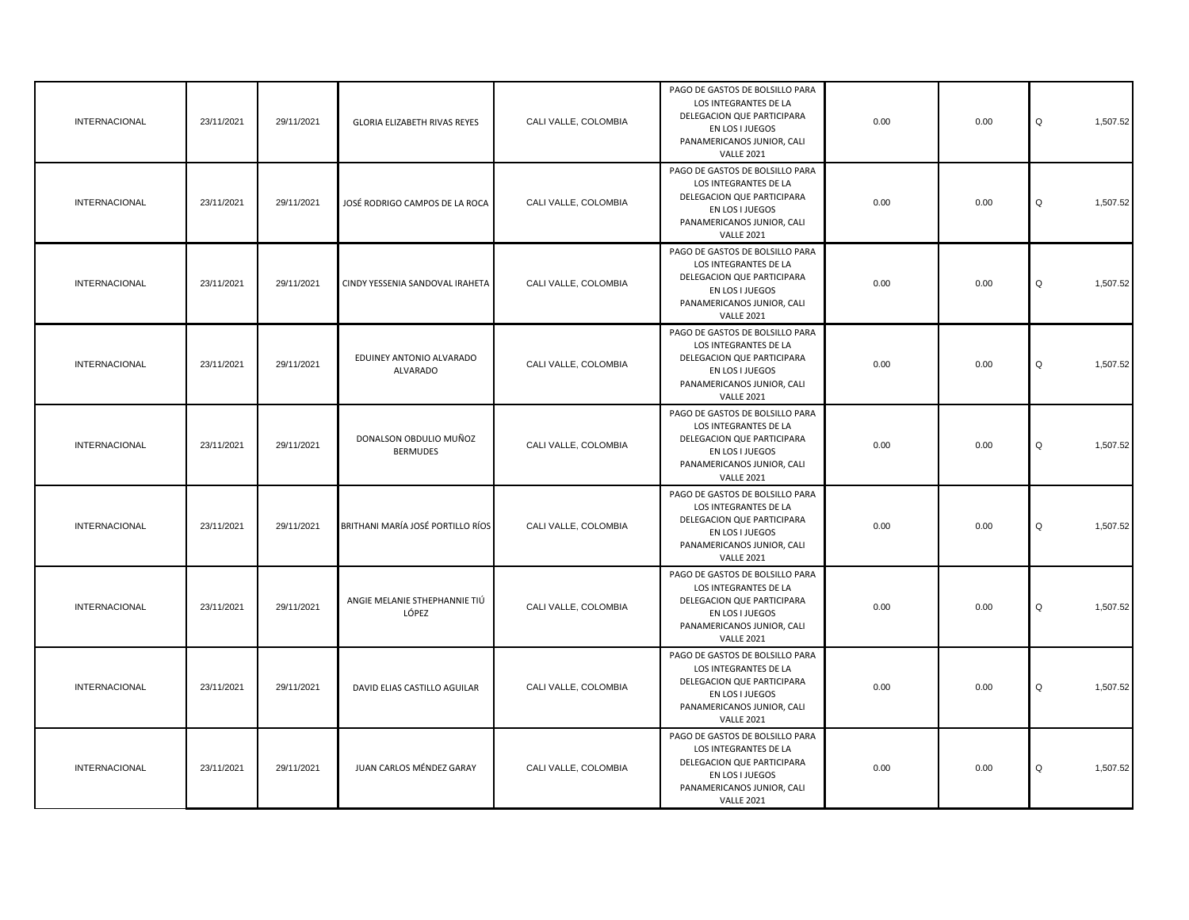| <b>INTERNACIONAL</b> | 23/11/2021 | 29/11/2021 | <b>GLORIA ELIZABETH RIVAS REYES</b>       | CALI VALLE, COLOMBIA | PAGO DE GASTOS DE BOLSILLO PARA<br>LOS INTEGRANTES DE LA<br>DELEGACION QUE PARTICIPARA<br>EN LOS I JUEGOS<br>PANAMERICANOS JUNIOR, CALI<br><b>VALLE 2021</b> | 0.00 | 0.00 | Q<br>1,507.52 |
|----------------------|------------|------------|-------------------------------------------|----------------------|--------------------------------------------------------------------------------------------------------------------------------------------------------------|------|------|---------------|
| <b>INTERNACIONAL</b> | 23/11/2021 | 29/11/2021 | JOSÉ RODRIGO CAMPOS DE LA ROCA            | CALI VALLE, COLOMBIA | PAGO DE GASTOS DE BOLSILLO PARA<br>LOS INTEGRANTES DE LA<br>DELEGACION QUE PARTICIPARA<br>EN LOS I JUEGOS<br>PANAMERICANOS JUNIOR, CALI<br><b>VALLE 2021</b> | 0.00 | 0.00 | Q<br>1,507.52 |
| <b>INTERNACIONAL</b> | 23/11/2021 | 29/11/2021 | CINDY YESSENIA SANDOVAL IRAHETA           | CALI VALLE, COLOMBIA | PAGO DE GASTOS DE BOLSILLO PARA<br>LOS INTEGRANTES DE LA<br>DELEGACION QUE PARTICIPARA<br>EN LOS I JUEGOS<br>PANAMERICANOS JUNIOR, CALI<br><b>VALLE 2021</b> | 0.00 | 0.00 | Q<br>1,507.52 |
| INTERNACIONAL        | 23/11/2021 | 29/11/2021 | EDUINEY ANTONIO ALVARADO<br>ALVARADO      | CALI VALLE, COLOMBIA | PAGO DE GASTOS DE BOLSILLO PARA<br>LOS INTEGRANTES DE LA<br>DELEGACION QUE PARTICIPARA<br>EN LOS I JUEGOS<br>PANAMERICANOS JUNIOR, CALI<br><b>VALLE 2021</b> | 0.00 | 0.00 | Q<br>1,507.52 |
| INTERNACIONAL        | 23/11/2021 | 29/11/2021 | DONALSON OBDULIO MUÑOZ<br><b>BERMUDES</b> | CALI VALLE, COLOMBIA | PAGO DE GASTOS DE BOLSILLO PARA<br>LOS INTEGRANTES DE LA<br>DELEGACION QUE PARTICIPARA<br>EN LOS I JUEGOS<br>PANAMERICANOS JUNIOR, CALI<br><b>VALLE 2021</b> | 0.00 | 0.00 | Q<br>1,507.52 |
| <b>INTERNACIONAL</b> | 23/11/2021 | 29/11/2021 | BRITHANI MARÍA JOSÉ PORTILLO RÍOS         | CALI VALLE, COLOMBIA | PAGO DE GASTOS DE BOLSILLO PARA<br>LOS INTEGRANTES DE LA<br>DELEGACION QUE PARTICIPARA<br>EN LOS I JUEGOS<br>PANAMERICANOS JUNIOR, CALI<br><b>VALLE 2021</b> | 0.00 | 0.00 | Q<br>1,507.52 |
| INTERNACIONAL        | 23/11/2021 | 29/11/2021 | ANGIE MELANIE STHEPHANNIE TIÚ<br>LÓPEZ    | CALI VALLE, COLOMBIA | PAGO DE GASTOS DE BOLSILLO PARA<br>LOS INTEGRANTES DE LA<br>DELEGACION QUE PARTICIPARA<br>EN LOS I JUEGOS<br>PANAMERICANOS JUNIOR, CALI<br><b>VALLE 2021</b> | 0.00 | 0.00 | Q<br>1,507.52 |
| INTERNACIONAL        | 23/11/2021 | 29/11/2021 | DAVID ELIAS CASTILLO AGUILAR              | CALI VALLE, COLOMBIA | PAGO DE GASTOS DE BOLSILLO PARA<br>LOS INTEGRANTES DE LA<br>DELEGACION QUE PARTICIPARA<br>EN LOS I JUEGOS<br>PANAMERICANOS JUNIOR, CALI<br><b>VALLE 2021</b> | 0.00 | 0.00 | Q<br>1,507.52 |
| INTERNACIONAL        | 23/11/2021 | 29/11/2021 | JUAN CARLOS MÉNDEZ GARAY                  | CALI VALLE, COLOMBIA | PAGO DE GASTOS DE BOLSILLO PARA<br>LOS INTEGRANTES DE LA<br>DELEGACION QUE PARTICIPARA<br>EN LOS I JUEGOS<br>PANAMERICANOS JUNIOR, CALI<br><b>VALLE 2021</b> | 0.00 | 0.00 | Q<br>1,507.52 |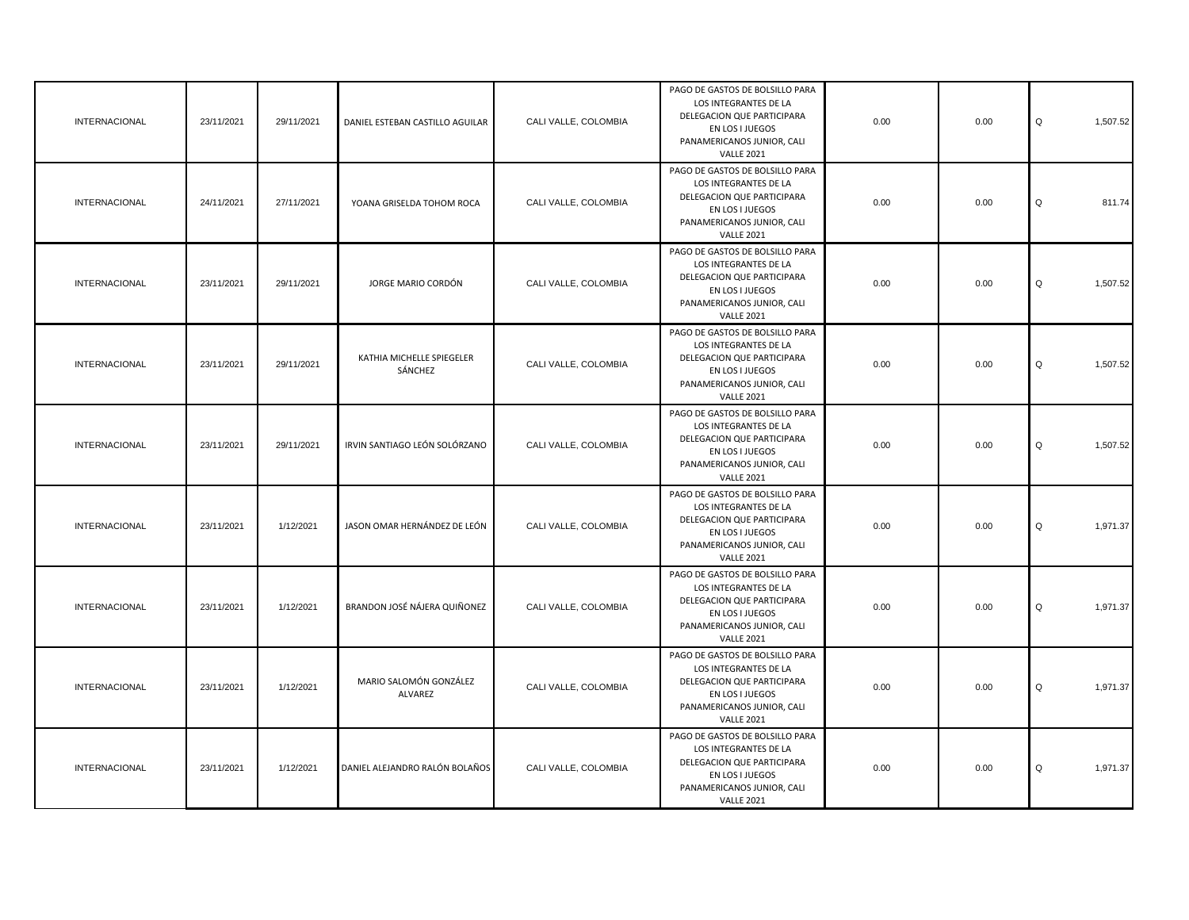| INTERNACIONAL        | 23/11/2021 | 29/11/2021 | DANIEL ESTEBAN CASTILLO AGUILAR      | CALI VALLE, COLOMBIA | PAGO DE GASTOS DE BOLSILLO PARA<br>LOS INTEGRANTES DE LA<br>DELEGACION QUE PARTICIPARA<br>EN LOS I JUEGOS<br>PANAMERICANOS JUNIOR, CALI<br><b>VALLE 2021</b> | 0.00 | 0.00 | Q<br>1,507.52 |
|----------------------|------------|------------|--------------------------------------|----------------------|--------------------------------------------------------------------------------------------------------------------------------------------------------------|------|------|---------------|
| <b>INTERNACIONAL</b> | 24/11/2021 | 27/11/2021 | YOANA GRISELDA TOHOM ROCA            | CALI VALLE, COLOMBIA | PAGO DE GASTOS DE BOLSILLO PARA<br>LOS INTEGRANTES DE LA<br>DELEGACION QUE PARTICIPARA<br>EN LOS I JUEGOS<br>PANAMERICANOS JUNIOR, CALI<br><b>VALLE 2021</b> | 0.00 | 0.00 | Q<br>811.74   |
| <b>INTERNACIONAL</b> | 23/11/2021 | 29/11/2021 | JORGE MARIO CORDÓN                   | CALI VALLE, COLOMBIA | PAGO DE GASTOS DE BOLSILLO PARA<br>LOS INTEGRANTES DE LA<br>DELEGACION QUE PARTICIPARA<br>EN LOS I JUEGOS<br>PANAMERICANOS JUNIOR, CALI<br><b>VALLE 2021</b> | 0.00 | 0.00 | Q<br>1,507.52 |
| <b>INTERNACIONAL</b> | 23/11/2021 | 29/11/2021 | KATHIA MICHELLE SPIEGELER<br>SÁNCHEZ | CALI VALLE, COLOMBIA | PAGO DE GASTOS DE BOLSILLO PARA<br>LOS INTEGRANTES DE LA<br>DELEGACION QUE PARTICIPARA<br>EN LOS I JUEGOS<br>PANAMERICANOS JUNIOR, CALI<br><b>VALLE 2021</b> | 0.00 | 0.00 | Q<br>1,507.52 |
| <b>INTERNACIONAL</b> | 23/11/2021 | 29/11/2021 | IRVIN SANTIAGO LEÓN SOLÓRZANO        | CALI VALLE, COLOMBIA | PAGO DE GASTOS DE BOLSILLO PARA<br>LOS INTEGRANTES DE LA<br>DELEGACION QUE PARTICIPARA<br>EN LOS I JUEGOS<br>PANAMERICANOS JUNIOR, CALI<br><b>VALLE 2021</b> | 0.00 | 0.00 | Q<br>1,507.52 |
| <b>INTERNACIONAL</b> | 23/11/2021 | 1/12/2021  | JASON OMAR HERNÁNDEZ DE LEÓN         | CALI VALLE, COLOMBIA | PAGO DE GASTOS DE BOLSILLO PARA<br>LOS INTEGRANTES DE LA<br>DELEGACION QUE PARTICIPARA<br>EN LOS I JUEGOS<br>PANAMERICANOS JUNIOR, CALI<br><b>VALLE 2021</b> | 0.00 | 0.00 | Q<br>1,971.37 |
| <b>INTERNACIONAL</b> | 23/11/2021 | 1/12/2021  | BRANDON JOSÉ NÁJERA QUIÑONEZ         | CALI VALLE, COLOMBIA | PAGO DE GASTOS DE BOLSILLO PARA<br>LOS INTEGRANTES DE LA<br>DELEGACION QUE PARTICIPARA<br>EN LOS I JUEGOS<br>PANAMERICANOS JUNIOR, CALI<br><b>VALLE 2021</b> | 0.00 | 0.00 | 1,971.37<br>Q |
| <b>INTERNACIONAL</b> | 23/11/2021 | 1/12/2021  | MARIO SALOMÓN GONZÁLEZ<br>ALVAREZ    | CALI VALLE, COLOMBIA | PAGO DE GASTOS DE BOLSILLO PARA<br>LOS INTEGRANTES DE LA<br>DELEGACION QUE PARTICIPARA<br>EN LOS I JUEGOS<br>PANAMERICANOS JUNIOR, CALI<br><b>VALLE 2021</b> | 0.00 | 0.00 | Q<br>1,971.37 |
| <b>INTERNACIONAL</b> | 23/11/2021 | 1/12/2021  | DANIEL ALEJANDRO RALÓN BOLAÑOS       | CALI VALLE, COLOMBIA | PAGO DE GASTOS DE BOLSILLO PARA<br>LOS INTEGRANTES DE LA<br>DELEGACION QUE PARTICIPARA<br>EN LOS I JUEGOS<br>PANAMERICANOS JUNIOR, CALI<br><b>VALLE 2021</b> | 0.00 | 0.00 | Q<br>1,971.37 |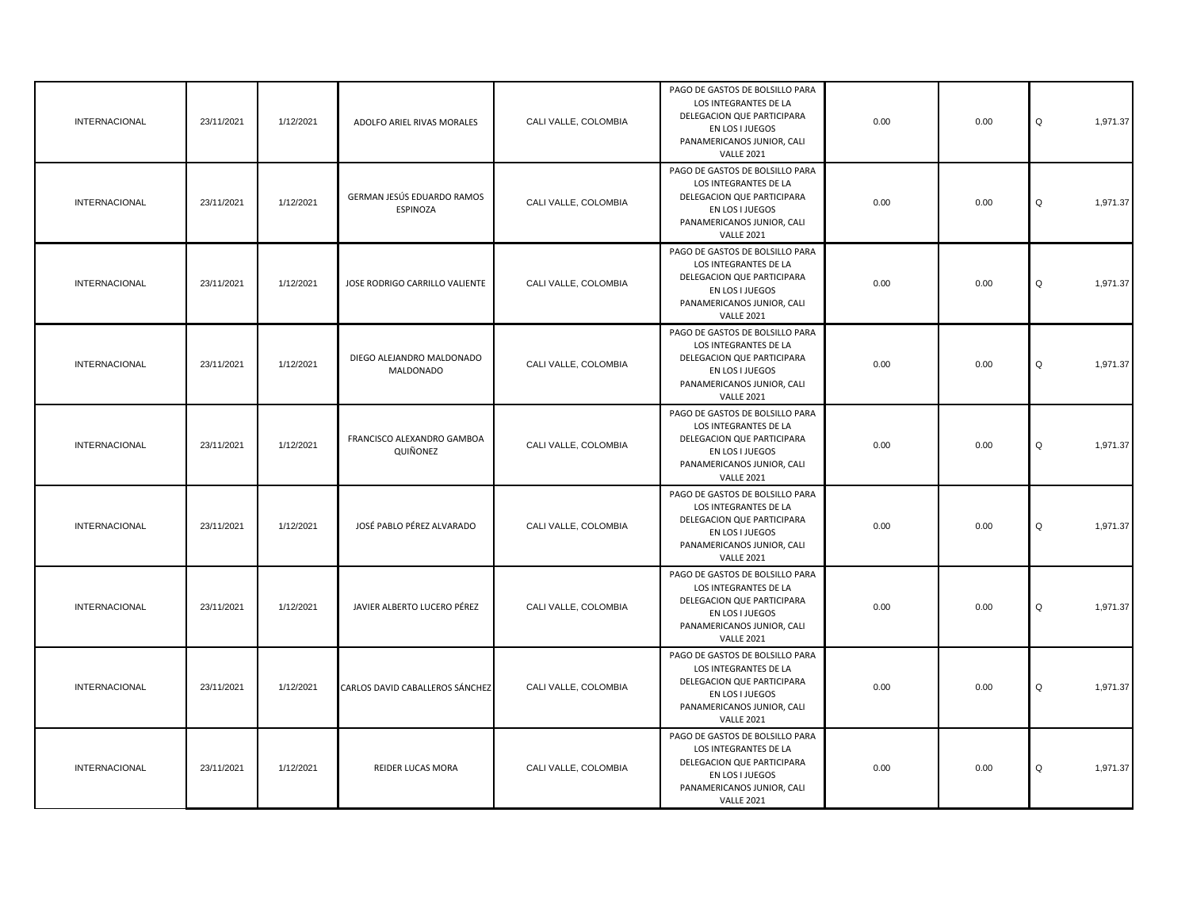| <b>INTERNACIONAL</b> | 23/11/2021 | 1/12/2021 | ADOLFO ARIEL RIVAS MORALES             | CALI VALLE, COLOMBIA | PAGO DE GASTOS DE BOLSILLO PARA<br>LOS INTEGRANTES DE LA<br>DELEGACION QUE PARTICIPARA<br>EN LOS I JUEGOS<br>PANAMERICANOS JUNIOR, CALI<br><b>VALLE 2021</b> | 0.00 | 0.00 | 1,971.37<br>Q |
|----------------------|------------|-----------|----------------------------------------|----------------------|--------------------------------------------------------------------------------------------------------------------------------------------------------------|------|------|---------------|
| <b>INTERNACIONAL</b> | 23/11/2021 | 1/12/2021 | GERMAN JESÚS EDUARDO RAMOS<br>ESPINOZA | CALI VALLE, COLOMBIA | PAGO DE GASTOS DE BOLSILLO PARA<br>LOS INTEGRANTES DE LA<br>DELEGACION QUE PARTICIPARA<br>EN LOS I JUEGOS<br>PANAMERICANOS JUNIOR, CALI<br><b>VALLE 2021</b> | 0.00 | 0.00 | 1,971.37<br>Q |
| <b>INTERNACIONAL</b> | 23/11/2021 | 1/12/2021 | JOSE RODRIGO CARRILLO VALIENTE         | CALI VALLE, COLOMBIA | PAGO DE GASTOS DE BOLSILLO PARA<br>LOS INTEGRANTES DE LA<br>DELEGACION QUE PARTICIPARA<br>EN LOS I JUEGOS<br>PANAMERICANOS JUNIOR, CALI<br><b>VALLE 2021</b> | 0.00 | 0.00 | 1,971.37<br>Q |
| <b>INTERNACIONAL</b> | 23/11/2021 | 1/12/2021 | DIEGO ALEJANDRO MALDONADO<br>MALDONADO | CALI VALLE, COLOMBIA | PAGO DE GASTOS DE BOLSILLO PARA<br>LOS INTEGRANTES DE LA<br>DELEGACION QUE PARTICIPARA<br>EN LOS I JUEGOS<br>PANAMERICANOS JUNIOR, CALI<br><b>VALLE 2021</b> | 0.00 | 0.00 | 1,971.37<br>Q |
| <b>INTERNACIONAL</b> | 23/11/2021 | 1/12/2021 | FRANCISCO ALEXANDRO GAMBOA<br>QUIÑONEZ | CALI VALLE, COLOMBIA | PAGO DE GASTOS DE BOLSILLO PARA<br>LOS INTEGRANTES DE LA<br>DELEGACION QUE PARTICIPARA<br>EN LOS I JUEGOS<br>PANAMERICANOS JUNIOR, CALI<br><b>VALLE 2021</b> | 0.00 | 0.00 | 1,971.37<br>Q |
| <b>INTERNACIONAL</b> | 23/11/2021 | 1/12/2021 | JOSÉ PABLO PÉREZ ALVARADO              | CALI VALLE, COLOMBIA | PAGO DE GASTOS DE BOLSILLO PARA<br>LOS INTEGRANTES DE LA<br>DELEGACION QUE PARTICIPARA<br>EN LOS I JUEGOS<br>PANAMERICANOS JUNIOR, CALI<br><b>VALLE 2021</b> | 0.00 | 0.00 | 1,971.37<br>Q |
| <b>INTERNACIONAL</b> | 23/11/2021 | 1/12/2021 | JAVIER ALBERTO LUCERO PÉREZ            | CALI VALLE, COLOMBIA | PAGO DE GASTOS DE BOLSILLO PARA<br>LOS INTEGRANTES DE LA<br>DELEGACION QUE PARTICIPARA<br>EN LOS I JUEGOS<br>PANAMERICANOS JUNIOR, CALI<br><b>VALLE 2021</b> | 0.00 | 0.00 | Q<br>1,971.37 |
| <b>INTERNACIONAL</b> | 23/11/2021 | 1/12/2021 | CARLOS DAVID CABALLEROS SÁNCHEZ        | CALI VALLE, COLOMBIA | PAGO DE GASTOS DE BOLSILLO PARA<br>LOS INTEGRANTES DE LA<br>DELEGACION QUE PARTICIPARA<br>EN LOS I JUEGOS<br>PANAMERICANOS JUNIOR, CALI<br><b>VALLE 2021</b> | 0.00 | 0.00 | Q<br>1,971.37 |
| <b>INTERNACIONAL</b> | 23/11/2021 | 1/12/2021 | REIDER LUCAS MORA                      | CALI VALLE, COLOMBIA | PAGO DE GASTOS DE BOLSILLO PARA<br>LOS INTEGRANTES DE LA<br>DELEGACION QUE PARTICIPARA<br>EN LOS I JUEGOS<br>PANAMERICANOS JUNIOR, CALI<br><b>VALLE 2021</b> | 0.00 | 0.00 | Q<br>1,971.37 |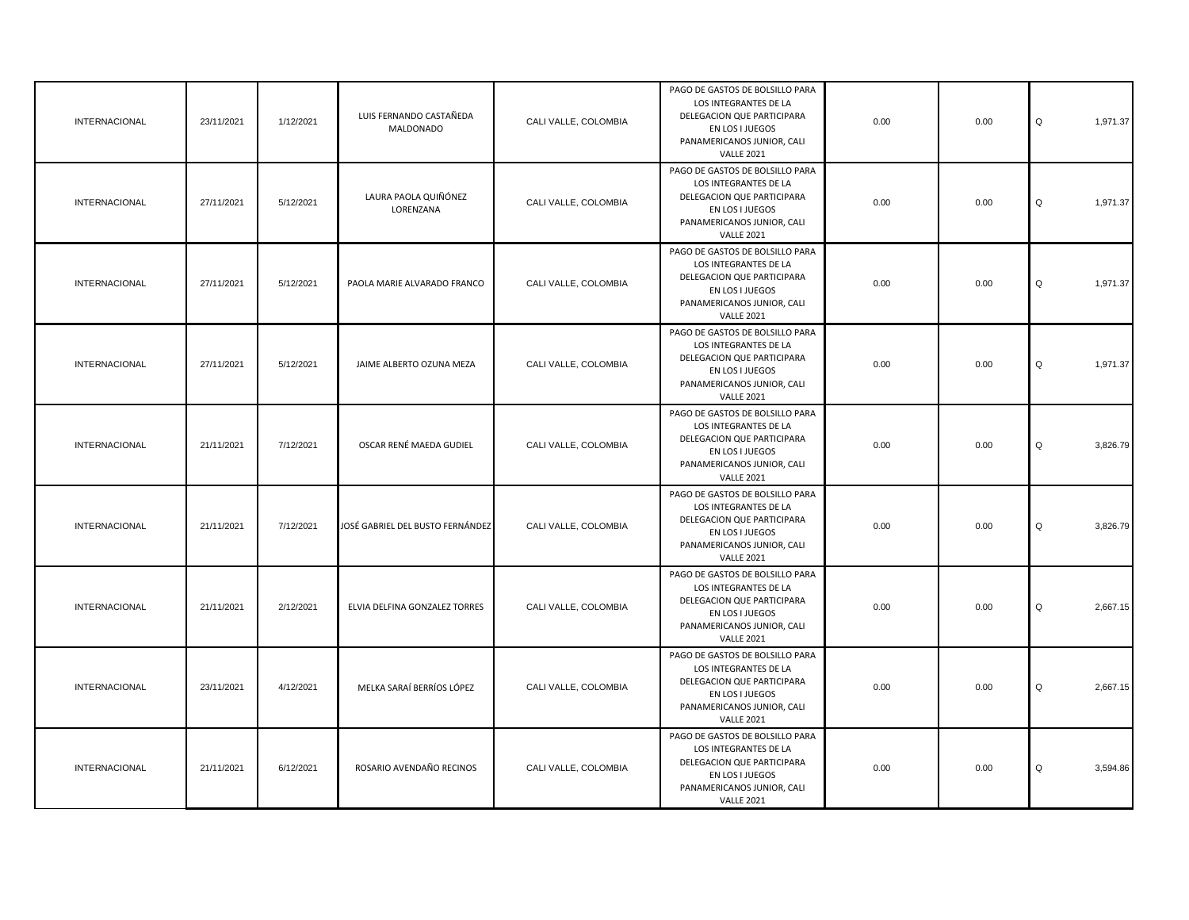| <b>INTERNACIONAL</b> | 23/11/2021 | 1/12/2021 | LUIS FERNANDO CASTAÑEDA<br><b>MALDONADO</b> | CALI VALLE, COLOMBIA | PAGO DE GASTOS DE BOLSILLO PARA<br>LOS INTEGRANTES DE LA<br>DELEGACION QUE PARTICIPARA<br>EN LOS I JUEGOS<br>PANAMERICANOS JUNIOR, CALI<br><b>VALLE 2021</b> | 0.00 | 0.00 | Q<br>1,971.37 |
|----------------------|------------|-----------|---------------------------------------------|----------------------|--------------------------------------------------------------------------------------------------------------------------------------------------------------|------|------|---------------|
| <b>INTERNACIONAL</b> | 27/11/2021 | 5/12/2021 | LAURA PAOLA QUIÑÓNEZ<br>LORENZANA           | CALI VALLE, COLOMBIA | PAGO DE GASTOS DE BOLSILLO PARA<br>LOS INTEGRANTES DE LA<br>DELEGACION QUE PARTICIPARA<br>EN LOS I JUEGOS<br>PANAMERICANOS JUNIOR, CALI<br><b>VALLE 2021</b> | 0.00 | 0.00 | Q<br>1,971.37 |
| <b>INTERNACIONAL</b> | 27/11/2021 | 5/12/2021 | PAOLA MARIE ALVARADO FRANCO                 | CALI VALLE, COLOMBIA | PAGO DE GASTOS DE BOLSILLO PARA<br>LOS INTEGRANTES DE LA<br>DELEGACION QUE PARTICIPARA<br>EN LOS I JUEGOS<br>PANAMERICANOS JUNIOR, CALI<br><b>VALLE 2021</b> | 0.00 | 0.00 | Q<br>1,971.37 |
| <b>INTERNACIONAL</b> | 27/11/2021 | 5/12/2021 | JAIME ALBERTO OZUNA MEZA                    | CALI VALLE, COLOMBIA | PAGO DE GASTOS DE BOLSILLO PARA<br>LOS INTEGRANTES DE LA<br>DELEGACION QUE PARTICIPARA<br>EN LOS I JUEGOS<br>PANAMERICANOS JUNIOR, CALI<br><b>VALLE 2021</b> | 0.00 | 0.00 | Q<br>1,971.37 |
| <b>INTERNACIONAL</b> | 21/11/2021 | 7/12/2021 | OSCAR RENÉ MAEDA GUDIEL                     | CALI VALLE, COLOMBIA | PAGO DE GASTOS DE BOLSILLO PARA<br>LOS INTEGRANTES DE LA<br>DELEGACION QUE PARTICIPARA<br>EN LOS I JUEGOS<br>PANAMERICANOS JUNIOR, CALI<br><b>VALLE 2021</b> | 0.00 | 0.00 | 3,826.79<br>Q |
| <b>INTERNACIONAL</b> | 21/11/2021 | 7/12/2021 | JOSÉ GABRIEL DEL BUSTO FERNÁNDEZ            | CALI VALLE, COLOMBIA | PAGO DE GASTOS DE BOLSILLO PARA<br>LOS INTEGRANTES DE LA<br>DELEGACION QUE PARTICIPARA<br>EN LOS I JUEGOS<br>PANAMERICANOS JUNIOR, CALI<br><b>VALLE 2021</b> | 0.00 | 0.00 | Q<br>3,826.79 |
| <b>INTERNACIONAL</b> | 21/11/2021 | 2/12/2021 | ELVIA DELFINA GONZALEZ TORRES               | CALI VALLE, COLOMBIA | PAGO DE GASTOS DE BOLSILLO PARA<br>LOS INTEGRANTES DE LA<br>DELEGACION QUE PARTICIPARA<br>EN LOS I JUEGOS<br>PANAMERICANOS JUNIOR, CALI<br><b>VALLE 2021</b> | 0.00 | 0.00 | Q<br>2,667.15 |
| <b>INTERNACIONAL</b> | 23/11/2021 | 4/12/2021 | MELKA SARAÍ BERRÍOS LÓPEZ                   | CALI VALLE, COLOMBIA | PAGO DE GASTOS DE BOLSILLO PARA<br>LOS INTEGRANTES DE LA<br>DELEGACION QUE PARTICIPARA<br>EN LOS I JUEGOS<br>PANAMERICANOS JUNIOR, CALI<br><b>VALLE 2021</b> | 0.00 | 0.00 | Q<br>2,667.15 |
| <b>INTERNACIONAL</b> | 21/11/2021 | 6/12/2021 | ROSARIO AVENDAÑO RECINOS                    | CALI VALLE, COLOMBIA | PAGO DE GASTOS DE BOLSILLO PARA<br>LOS INTEGRANTES DE LA<br>DELEGACION QUE PARTICIPARA<br>EN LOS I JUEGOS<br>PANAMERICANOS JUNIOR, CALI<br><b>VALLE 2021</b> | 0.00 | 0.00 | Q<br>3,594.86 |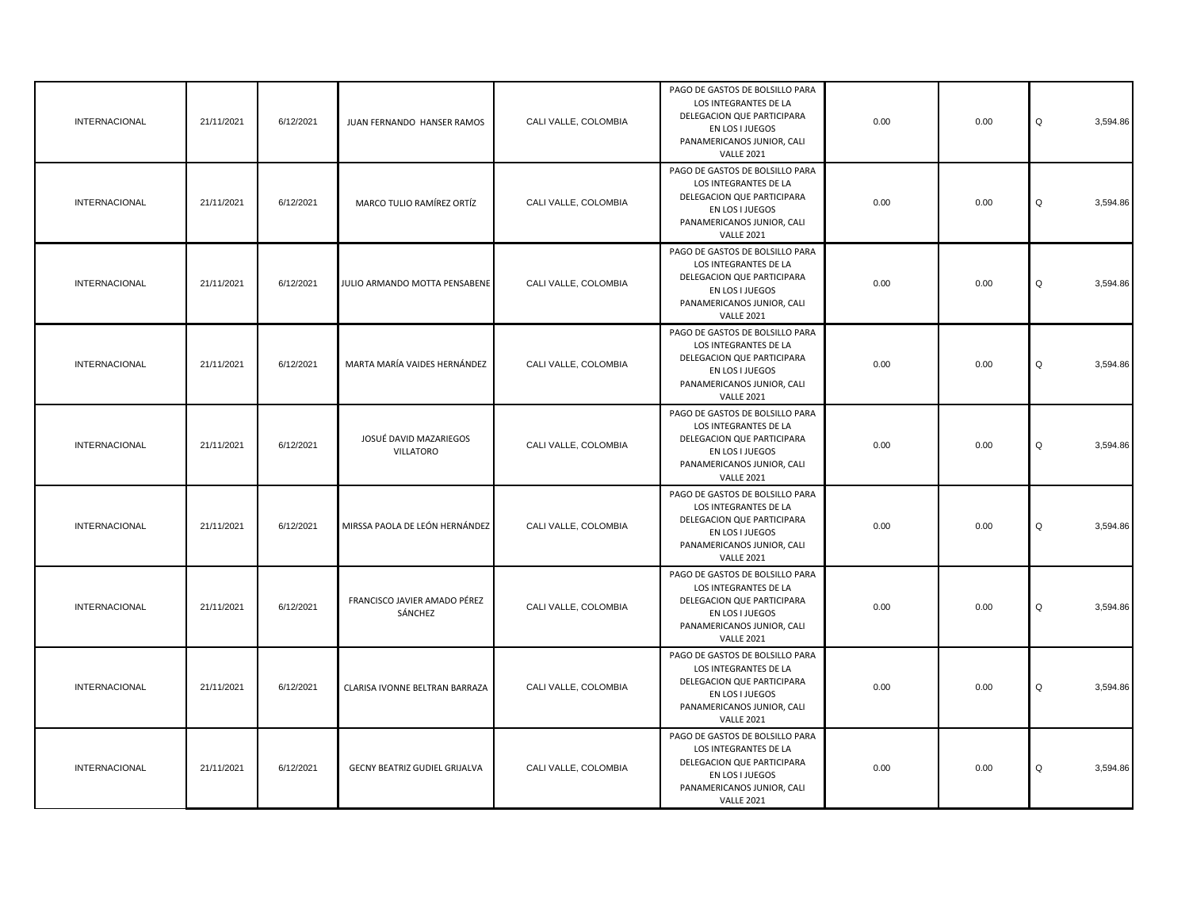| <b>INTERNACIONAL</b> | 21/11/2021 | 6/12/2021 | JUAN FERNANDO HANSER RAMOS                 | CALI VALLE, COLOMBIA | PAGO DE GASTOS DE BOLSILLO PARA<br>LOS INTEGRANTES DE LA<br>DELEGACION QUE PARTICIPARA<br>EN LOS I JUEGOS<br>PANAMERICANOS JUNIOR, CALI<br><b>VALLE 2021</b> | 0.00 | 0.00 | Q<br>3,594.86 |
|----------------------|------------|-----------|--------------------------------------------|----------------------|--------------------------------------------------------------------------------------------------------------------------------------------------------------|------|------|---------------|
| <b>INTERNACIONAL</b> | 21/11/2021 | 6/12/2021 | MARCO TULIO RAMÍREZ ORTÍZ                  | CALI VALLE, COLOMBIA | PAGO DE GASTOS DE BOLSILLO PARA<br>LOS INTEGRANTES DE LA<br>DELEGACION QUE PARTICIPARA<br>EN LOS I JUEGOS<br>PANAMERICANOS JUNIOR, CALI<br><b>VALLE 2021</b> | 0.00 | 0.00 | Q<br>3,594.86 |
| <b>INTERNACIONAL</b> | 21/11/2021 | 6/12/2021 | JULIO ARMANDO MOTTA PENSABENE              | CALI VALLE, COLOMBIA | PAGO DE GASTOS DE BOLSILLO PARA<br>LOS INTEGRANTES DE LA<br>DELEGACION QUE PARTICIPARA<br>EN LOS I JUEGOS<br>PANAMERICANOS JUNIOR, CALI<br><b>VALLE 2021</b> | 0.00 | 0.00 | Q<br>3,594.86 |
| INTERNACIONAL        | 21/11/2021 | 6/12/2021 | MARTA MARÍA VAIDES HERNÁNDEZ               | CALI VALLE, COLOMBIA | PAGO DE GASTOS DE BOLSILLO PARA<br>LOS INTEGRANTES DE LA<br>DELEGACION QUE PARTICIPARA<br>EN LOS I JUEGOS<br>PANAMERICANOS JUNIOR, CALI<br><b>VALLE 2021</b> | 0.00 | 0.00 | Q<br>3,594.86 |
| INTERNACIONAL        | 21/11/2021 | 6/12/2021 | JOSUÉ DAVID MAZARIEGOS<br><b>VILLATORO</b> | CALI VALLE, COLOMBIA | PAGO DE GASTOS DE BOLSILLO PARA<br>LOS INTEGRANTES DE LA<br>DELEGACION QUE PARTICIPARA<br>EN LOS I JUEGOS<br>PANAMERICANOS JUNIOR, CALI<br><b>VALLE 2021</b> | 0.00 | 0.00 | Q<br>3,594.86 |
| <b>INTERNACIONAL</b> | 21/11/2021 | 6/12/2021 | MIRSSA PAOLA DE LEÓN HERNÁNDEZ             | CALI VALLE, COLOMBIA | PAGO DE GASTOS DE BOLSILLO PARA<br>LOS INTEGRANTES DE LA<br>DELEGACION QUE PARTICIPARA<br>EN LOS I JUEGOS<br>PANAMERICANOS JUNIOR, CALI<br><b>VALLE 2021</b> | 0.00 | 0.00 | Q<br>3,594.86 |
| <b>INTERNACIONAL</b> | 21/11/2021 | 6/12/2021 | FRANCISCO JAVIER AMADO PÉREZ<br>SÁNCHEZ    | CALI VALLE, COLOMBIA | PAGO DE GASTOS DE BOLSILLO PARA<br>LOS INTEGRANTES DE LA<br>DELEGACION QUE PARTICIPARA<br>EN LOS I JUEGOS<br>PANAMERICANOS JUNIOR, CALI<br><b>VALLE 2021</b> | 0.00 | 0.00 | 3,594.86<br>Q |
| <b>INTERNACIONAL</b> | 21/11/2021 | 6/12/2021 | CLARISA IVONNE BELTRAN BARRAZA             | CALI VALLE, COLOMBIA | PAGO DE GASTOS DE BOLSILLO PARA<br>LOS INTEGRANTES DE LA<br>DELEGACION QUE PARTICIPARA<br>EN LOS I JUEGOS<br>PANAMERICANOS JUNIOR, CALI<br><b>VALLE 2021</b> | 0.00 | 0.00 | Q<br>3,594.86 |
| INTERNACIONAL        | 21/11/2021 | 6/12/2021 | GECNY BEATRIZ GUDIEL GRIJALVA              | CALI VALLE, COLOMBIA | PAGO DE GASTOS DE BOLSILLO PARA<br>LOS INTEGRANTES DE LA<br>DELEGACION QUE PARTICIPARA<br>EN LOS I JUEGOS<br>PANAMERICANOS JUNIOR, CALI<br><b>VALLE 2021</b> | 0.00 | 0.00 | Q<br>3,594.86 |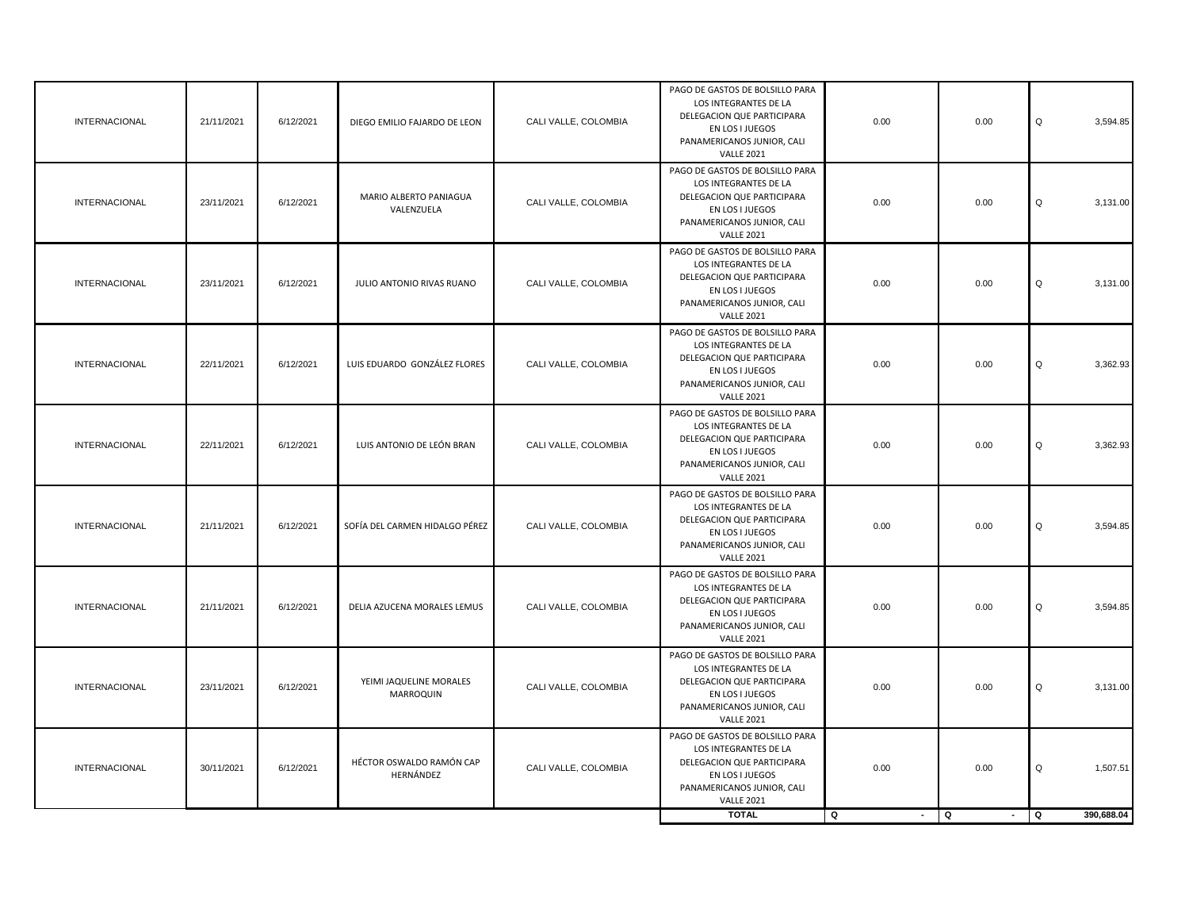| INTERNACIONAL        | 21/11/2021 | 6/12/2021 | DIEGO EMILIO FAJARDO DE LEON                | CALI VALLE, COLOMBIA | PAGO DE GASTOS DE BOLSILLO PARA<br>LOS INTEGRANTES DE LA<br>DELEGACION QUE PARTICIPARA<br>EN LOS I JUEGOS<br>PANAMERICANOS JUNIOR, CALI<br><b>VALLE 2021</b> | 0.00                | 0.00        | Q<br>3,594.85    |
|----------------------|------------|-----------|---------------------------------------------|----------------------|--------------------------------------------------------------------------------------------------------------------------------------------------------------|---------------------|-------------|------------------|
| INTERNACIONAL        | 23/11/2021 | 6/12/2021 | MARIO ALBERTO PANIAGUA<br>VALENZUELA        | CALI VALLE, COLOMBIA | PAGO DE GASTOS DE BOLSILLO PARA<br>LOS INTEGRANTES DE LA<br>DELEGACION QUE PARTICIPARA<br>EN LOS I JUEGOS<br>PANAMERICANOS JUNIOR, CALI<br><b>VALLE 2021</b> | 0.00                | 0.00        | Q<br>3,131.00    |
| <b>INTERNACIONAL</b> | 23/11/2021 | 6/12/2021 | JULIO ANTONIO RIVAS RUANO                   | CALI VALLE, COLOMBIA | PAGO DE GASTOS DE BOLSILLO PARA<br>LOS INTEGRANTES DE LA<br>DELEGACION QUE PARTICIPARA<br>EN LOS I JUEGOS<br>PANAMERICANOS JUNIOR, CALI<br><b>VALLE 2021</b> | 0.00                | 0.00        | Q<br>3,131.00    |
| <b>INTERNACIONAL</b> | 22/11/2021 | 6/12/2021 | LUIS EDUARDO GONZÁLEZ FLORES                | CALI VALLE, COLOMBIA | PAGO DE GASTOS DE BOLSILLO PARA<br>LOS INTEGRANTES DE LA<br>DELEGACION QUE PARTICIPARA<br>EN LOS I JUEGOS<br>PANAMERICANOS JUNIOR, CALI<br><b>VALLE 2021</b> | 0.00                | 0.00        | Q<br>3,362.93    |
| <b>INTERNACIONAL</b> | 22/11/2021 | 6/12/2021 | LUIS ANTONIO DE LEÓN BRAN                   | CALI VALLE, COLOMBIA | PAGO DE GASTOS DE BOLSILLO PARA<br>LOS INTEGRANTES DE LA<br>DELEGACION QUE PARTICIPARA<br>EN LOS I JUEGOS<br>PANAMERICANOS JUNIOR, CALI<br><b>VALLE 2021</b> | 0.00                | 0.00        | Q<br>3,362.93    |
| INTERNACIONAL        | 21/11/2021 | 6/12/2021 | SOFÍA DEL CARMEN HIDALGO PÉREZ              | CALI VALLE, COLOMBIA | PAGO DE GASTOS DE BOLSILLO PARA<br>LOS INTEGRANTES DE LA<br>DELEGACION QUE PARTICIPARA<br>EN LOS I JUEGOS<br>PANAMERICANOS JUNIOR, CALI<br><b>VALLE 2021</b> | 0.00                | 0.00        | Q<br>3,594.85    |
| <b>INTERNACIONAL</b> | 21/11/2021 | 6/12/2021 | DELIA AZUCENA MORALES LEMUS                 | CALI VALLE, COLOMBIA | PAGO DE GASTOS DE BOLSILLO PARA<br>LOS INTEGRANTES DE LA<br>DELEGACION QUE PARTICIPARA<br>EN LOS I JUEGOS<br>PANAMERICANOS JUNIOR, CALI<br><b>VALLE 2021</b> | 0.00                | 0.00        | Q<br>3,594.85    |
| <b>INTERNACIONAL</b> | 23/11/2021 | 6/12/2021 | YEIMI JAQUELINE MORALES<br><b>MARROQUIN</b> | CALI VALLE, COLOMBIA | PAGO DE GASTOS DE BOLSILLO PARA<br>LOS INTEGRANTES DE LA<br>DELEGACION QUE PARTICIPARA<br>EN LOS I JUEGOS<br>PANAMERICANOS JUNIOR, CALI<br><b>VALLE 2021</b> | 0.00                | 0.00        | Q<br>3,131.00    |
| <b>INTERNACIONAL</b> | 30/11/2021 | 6/12/2021 | HÉCTOR OSWALDO RAMÓN CAP<br>HERNÁNDEZ       | CALI VALLE, COLOMBIA | PAGO DE GASTOS DE BOLSILLO PARA<br>LOS INTEGRANTES DE LA<br>DELEGACION QUE PARTICIPARA<br>EN LOS I JUEGOS<br>PANAMERICANOS JUNIOR, CALI<br><b>VALLE 2021</b> | 0.00                | 0.00        | Q<br>1,507.51    |
|                      |            |           |                                             |                      | <b>TOTAL</b>                                                                                                                                                 | o<br>$\blacksquare$ | ō<br>$\sim$ | TQ<br>390,688.04 |